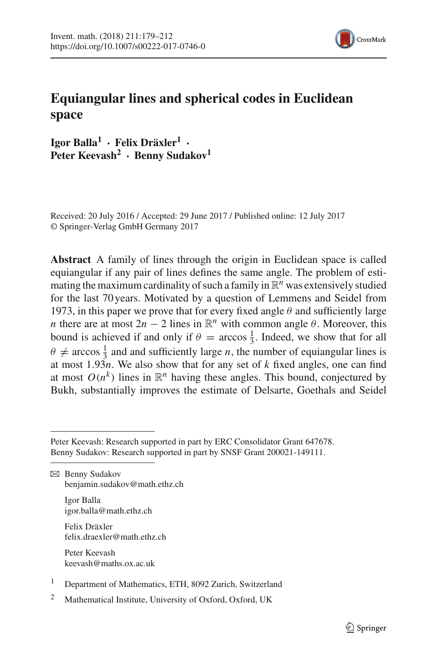

# **Equiangular lines and spherical codes in Euclidean space**

**Igor Balla<sup>1</sup> · Felix Dräxler1 · Peter Keevash2 · Benny Sudakov<sup>1</sup>**

Received: 20 July 2016 / Accepted: 29 June 2017 / Published online: 12 July 2017 © Springer-Verlag GmbH Germany 2017

**Abstract** A family of lines through the origin in Euclidean space is called equiangular if any pair of lines defines the same angle. The problem of estimating the maximum cardinality of such a family in  $\mathbb{R}^n$  was extensively studied for the last 70 years. Motivated by a question of Lemmens and Seidel from 1973, in this paper we prove that for every fixed angle  $\theta$  and sufficiently large *n* there are at most  $2n - 2$  lines in  $\mathbb{R}^n$  with common angle  $\theta$ . Moreover, this bound is achieved if and only if  $\theta = \arccos \frac{1}{3}$ . Indeed, we show that for all  $\theta \neq \arccos \frac{1}{3}$  and and sufficiently large *n*, the number of equiangular lines is at most  $1.93n$ . We also show that for any set of *k* fixed angles, one can find at most  $O(n^k)$  lines in  $\mathbb{R}^n$  having these angles. This bound, conjectured by Bukh, substantially improves the estimate of Delsarte, Goethals and Seidel

Peter Keevash: Research supported in part by ERC Consolidator Grant 647678. Benny Sudakov: Research supported in part by SNSF Grant 200021-149111.

 $\boxtimes$  Benny Sudakov benjamin.sudakov@math.ethz.ch

> Igor Balla igor.balla@math.ethz.ch

Felix Dräxler felix.draexler@math.ethz.ch

Peter Keevash keevash@maths.ox.ac.uk

- <sup>1</sup> Department of Mathematics, ETH, 8092 Zurich, Switzerland
- <sup>2</sup> Mathematical Institute, University of Oxford, Oxford, UK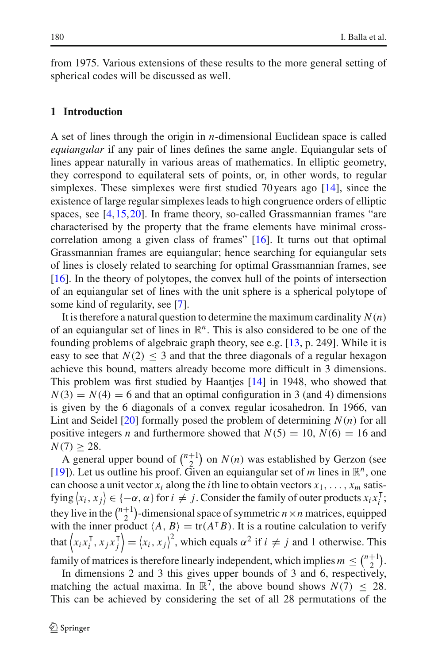from 1975. Various extensions of these results to the more general setting of spherical codes will be discussed as well.

### **1 Introduction**

A set of lines through the origin in *n*-dimensional Euclidean space is called *equiangular* if any pair of lines defines the same angle. Equiangular sets of lines appear naturally in various areas of mathematics. In elliptic geometry, they correspond to equilateral sets of points, or, in other words, to regular simplexes. These simplexes were first studied 70 years ago [\[14](#page-33-0)], since the existence of large regular simplexes leads to high congruence orders of elliptic spaces, see [\[4](#page-32-0)[,15,](#page-33-1)[20](#page-33-2)]. In frame theory, so-called Grassmannian frames "are characterised by the property that the frame elements have minimal crosscorrelation among a given class of frames" [\[16](#page-33-3)]. It turns out that optimal Grassmannian frames are equiangular; hence searching for equiangular sets of lines is closely related to searching for optimal Grassmannian frames, see [\[16](#page-33-3)]. In the theory of polytopes, the convex hull of the points of intersection of an equiangular set of lines with the unit sphere is a spherical polytope of some kind of regularity, see [\[7\]](#page-33-4).

It is therefore a natural question to determine the maximum cardinality  $N(n)$ of an equiangular set of lines in  $\mathbb{R}^n$ . This is also considered to be one of the founding problems of algebraic graph theory, see e.g. [\[13,](#page-33-5) p. 249]. While it is easy to see that  $N(2) \leq 3$  and that the three diagonals of a regular hexagon achieve this bound, matters already become more difficult in 3 dimensions. This problem was first studied by Haantjes [\[14](#page-33-0)] in 1948, who showed that  $N(3) = N(4) = 6$  and that an optimal configuration in 3 (and 4) dimensions is given by the 6 diagonals of a convex regular icosahedron. In 1966, van Lint and Seidel [\[20\]](#page-33-2) formally posed the problem of determining *N*(*n*) for all positive integers *n* and furthermore showed that  $N(5) = 10$ ,  $N(6) = 16$  and  $N(7) \geq 28$ .

A general upper bound of  $\binom{n+1}{2}$  on  $N(n)$  was established by Gerzon (see [\[19](#page-33-6)]). Let us outline his proof. Given an equiangular set of *m* lines in  $\mathbb{R}^n$ , one can choose a unit vector  $x_i$  along the *i*th line to obtain vectors  $x_1, \ldots, x_m$  satisfying  $\langle x_i, x_j \rangle \in \{-\alpha, \alpha\}$  for  $i \neq j$ . Consider the family of outer products  $x_i x_i^{\mathsf{T}}$ ; they live in the  $\binom{n+1}{2}$ -dimensional space of symmetric  $n \times n$  matrices, equipped with the inner product  $\langle A, B \rangle = \text{tr}(A^{\dagger}B)$ . It is a routine calculation to verify that  $\left\langle x_i x_i^{\mathsf{T}}, x_j x_j^{\mathsf{T}} \right\rangle = \left\langle x_i, x_j \right\rangle^2$ , which equals  $\alpha^2$  if  $i \neq j$  and 1 otherwise. This family of matrices is therefore linearly independent, which implies  $m \leq {n+1 \choose 2}$ .

In dimensions 2 and 3 this gives upper bounds of 3 and 6, respectively, matching the actual maxima. In  $\mathbb{R}^7$ , the above bound shows  $N(7) \leq 28$ . This can be achieved by considering the set of all 28 permutations of the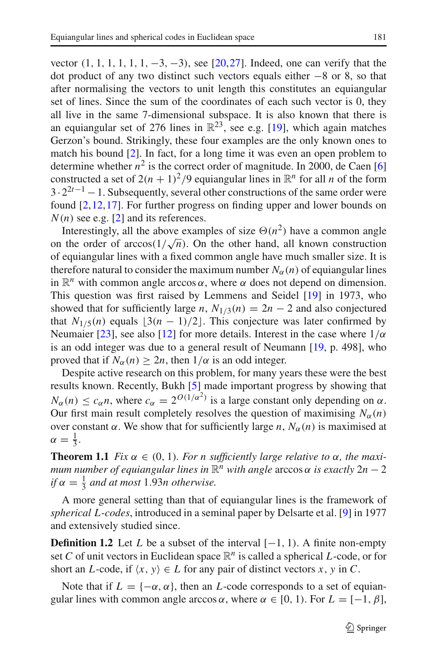vector  $(1, 1, 1, 1, 1, 1, -3, -3)$ , see [\[20,](#page-33-2)[27\]](#page-33-7). Indeed, one can verify that the dot product of any two distinct such vectors equals either −8 or 8, so that after normalising the vectors to unit length this constitutes an equiangular set of lines. Since the sum of the coordinates of each such vector is 0, they all live in the same 7-dimensional subspace. It is also known that there is an equiangular set of 276 lines in  $\mathbb{R}^{23}$ , see e.g. [\[19](#page-33-6)], which again matches Gerzon's bound. Strikingly, these four examples are the only known ones to match his bound [\[2](#page-32-1)]. In fact, for a long time it was even an open problem to determine whether  $n^2$  is the correct order of magnitude. In 2000, de Caen [\[6](#page-33-8)] constructed a set of  $2(n + 1)^2/9$  equiangular lines in  $\mathbb{R}^n$  for all *n* of the form  $3 \cdot 2^{2t-1} - 1$ . Subsequently, several other constructions of the same order were found [\[2,](#page-32-1)[12](#page-33-9),[17\]](#page-33-10). For further progress on finding upper and lower bounds on  $N(n)$  see e.g. [\[2](#page-32-1)] and its references.

Interestingly, all the above examples of size  $\Theta(n^2)$  have a common angle on the order of  $arccos(1/\sqrt{n})$ . On the other hand, all known construction of equiangular lines with a fixed common angle have much smaller size. It is therefore natural to consider the maximum number  $N_\alpha(n)$  of equiangular lines in  $\mathbb{R}^n$  with common angle arccos  $\alpha$ , where  $\alpha$  does not depend on dimension. This question was first raised by Lemmens and Seidel [\[19](#page-33-6)] in 1973, who showed that for sufficiently large *n*,  $N_{1/3}(n) = 2n - 2$  and also conjectured that  $N_{1/5}(n)$  equals  $\lfloor 3(n-1)/2 \rfloor$ . This conjecture was later confirmed by Neumaier [\[23\]](#page-33-11), see also [\[12](#page-33-9)] for more details. Interest in the case where  $1/\alpha$ is an odd integer was due to a general result of Neumann [\[19](#page-33-6), p. 498], who proved that if  $N_\alpha(n) \geq 2n$ , then  $1/\alpha$  is an odd integer.

Despite active research on this problem, for many years these were the best results known. Recently, Bukh [\[5\]](#page-33-12) made important progress by showing that  $N_{\alpha}(n) \leq c_{\alpha}n$ , where  $c_{\alpha} = 2^{O(1/\alpha^2)}$  is a large constant only depending on  $\alpha$ . Our first main result completely resolves the question of maximising  $N_\alpha(n)$ over constant  $\alpha$ . We show that for sufficiently large *n*,  $N_{\alpha}(n)$  is maximised at  $\alpha = \frac{1}{3}.$ 

<span id="page-2-0"></span>**Theorem 1.1** *Fix*  $\alpha \in (0, 1)$ *. For n sufficiently large relative to*  $\alpha$ *, the maximum number of equiangular lines in*  $\mathbb{R}^n$  *with angle* arccos  $\alpha$  *is exactly*  $2n - 2$ *if*  $\alpha = \frac{1}{3}$  *and at most* 1.93*n otherwise.* 

A more general setting than that of equiangular lines is the framework of *spherical L*-*codes*, introduced in a seminal paper by Delsarte et al. [\[9](#page-33-13)] in 1977 and extensively studied since.

**Definition 1.2** Let *L* be a subset of the interval  $[-1, 1)$ . A finite non-empty set *C* of unit vectors in Euclidean space  $\mathbb{R}^n$  is called a spherical *L*-code, or for short an *L*-code, if  $\langle x, y \rangle \in L$  for any pair of distinct vectors *x*, *y* in *C*.

Note that if  $L = \{-\alpha, \alpha\}$ , then an *L*-code corresponds to a set of equiangular lines with common angle arccos  $\alpha$ , where  $\alpha \in [0, 1)$ . For  $L = [-1, \beta]$ ,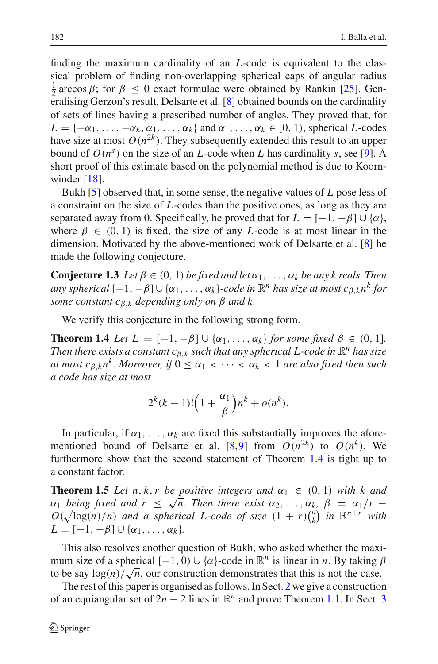finding the maximum cardinality of an *L*-code is equivalent to the classical problem of finding non-overlapping spherical caps of angular radius  $\frac{1}{2}$  arccos β; for  $\beta \le 0$  exact formulae were obtained by Rankin [\[25\]](#page-33-14). Generalising Gerzon's result, Delsarte et al. [\[8\]](#page-33-15) obtained bounds on the cardinality of sets of lines having a prescribed number of angles. They proved that, for  $L = \{-\alpha_1, \ldots, -\alpha_k, \alpha_1, \ldots, \alpha_k\}$  and  $\alpha_1, \ldots, \alpha_k \in [0, 1)$ , spherical *L*-codes have size at most  $O(n^{2k})$ . They subsequently extended this result to an upper bound of  $O(n^s)$  on the size of an *L*-code when *L* has cardinality *s*, see [\[9](#page-33-13)]. A short proof of this estimate based on the polynomial method is due to Koornwinder  $[18]$ .

Bukh [\[5](#page-33-12)] observed that, in some sense, the negative values of *L* pose less of a constraint on the size of *L*-codes than the positive ones, as long as they are separated away from 0. Specifically, he proved that for  $L = [-1, -\beta] \cup \{\alpha\},\$ where  $\beta \in (0, 1)$  is fixed, the size of any *L*-code is at most linear in the dimension. Motivated by the above-mentioned work of Delsarte et al. [\[8\]](#page-33-15) he made the following conjecture.

<span id="page-3-2"></span>**Conjecture 1.3** *Let*  $\beta \in (0, 1)$  *be fixed and let*  $\alpha_1, \ldots, \alpha_k$  *be any k reals. Then any spherical*  $[-1, -\beta] \cup {\alpha_1, \ldots, \alpha_k}$ *-code in*  $\mathbb{R}^n$  *has size at most*  $c_{\beta,k} n^k$  *for some constant*  $c_{\beta,k}$  *depending only on*  $\beta$  *and*  $k$ .

We verify this conjecture in the following strong form.

**Theorem 1.4** *Let*  $L = [-1, -\beta] \cup \{\alpha_1, \ldots, \alpha_k\}$  *for some fixed*  $\beta \in (0, 1]$ *. Then there exists a constant*  $c_{\beta,k}$  *such that any spherical L-code in*  $\mathbb{R}^n$  *has size at most c*<sub>*B*,*k*</sub> $n^k$ *. Moreover, if*  $0 \leq \alpha_1 < \cdots < \alpha_k < 1$  *are also fixed then such a code has size at most*

<span id="page-3-1"></span><span id="page-3-0"></span>
$$
2^k(k-1)!\left(1+\frac{\alpha_1}{\beta}\right)n^k+o(n^k).
$$

In particular, if  $\alpha_1, \ldots, \alpha_k$  are fixed this substantially improves the afore-mentioned bound of Delsarte et al. [\[8](#page-33-15)[,9\]](#page-33-13) from  $O(n^{2k})$  to  $O(n^k)$ . We furthermore show that the second statement of Theorem [1.4](#page-3-0) is tight up to a constant factor.

**Theorem 1.5** *Let*  $n, k, r$  *be positive integers and*  $\alpha_1 \in (0, 1)$  *with*  $k$  *and*  $\alpha_1$  *being fixed and r*  $\leq \sqrt{n}$ . Then there exist  $\alpha_2, \ldots, \alpha_k, \beta = \alpha_1/r - \beta$  $O(\sqrt{\log(n)/n})$  *and a spherical L-code of size*  $(1 + r)$ <sup> $(n \n)$ </sup>  $\binom{n}{k}$  in  $\mathbb{R}^{n+r}$  with  $L = [-1, -\beta] \cup \{\alpha_1, \ldots, \alpha_k\}.$ 

This also resolves another question of Bukh, who asked whether the maximum size of a spherical  $[-1, 0) \cup {\alpha}$ -code in  $\mathbb{R}^n$  is linear in *n*. By taking  $\beta$ to be say  $\log(n)/\sqrt{n}$ , our construction demonstrates that this is not the case.

The rest of this paper is organised as follows. In Sect. [2](#page-4-0) we give a construction of an equiangular set of  $2n - 2$  lines in  $\mathbb{R}^n$  and prove Theorem [1.1.](#page-2-0) In Sect. [3](#page-15-0)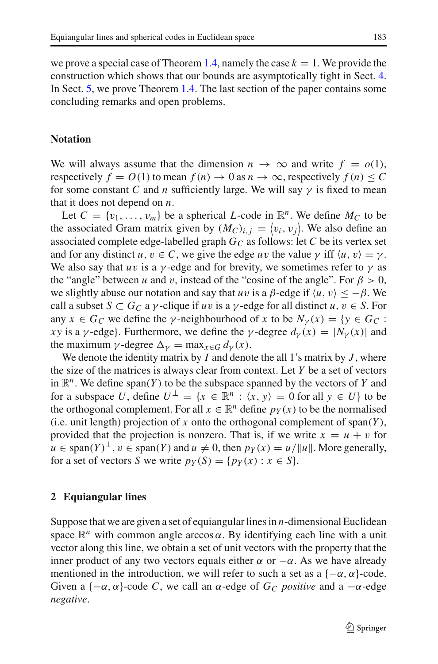# **Notation**

We will always assume that the dimension  $n \to \infty$  and write  $f = o(1)$ , respectively  $f = O(1)$  to mean  $f(n) \to 0$  as  $n \to \infty$ , respectively  $f(n) \leq C$ for some constant *C* and *n* sufficiently large. We will say  $\gamma$  is fixed to mean that it does not depend on *n*.

Let  $C = \{v_1, \ldots, v_m\}$  be a spherical *L*-code in  $\mathbb{R}^n$ . We define  $M_C$  to be the associated Gram matrix given by  $(M_C)_{i,j} = \langle v_i, v_j \rangle$ . We also define an associated complete edge-labelled graph  $G_C$  as follows: let *C* be its vertex set and for any distinct  $u, v \in C$ , we give the edge  $uv$  the value  $\gamma$  iff  $\langle u, v \rangle = \gamma$ . We also say that *uv* is a *γ*-edge and for brevity, we sometimes refer to  $\gamma$  as the "angle" between *u* and *v*, instead of the "cosine of the angle". For  $\beta > 0$ , we slightly abuse our notation and say that *uv* is a  $\beta$ -edge if  $\langle u, v \rangle \leq -\beta$ . We call a subset  $S \subset G_C$  a  $\gamma$ -clique if *uv* is a  $\gamma$ -edge for all distinct *u*,  $v \in S$ . For any  $x \in G_C$  we define the *y*-neighbourhood of *x* to be  $N_\gamma(x) = \{y \in G_C :$ *xy* is a *γ*-edge}. Furthermore, we define the *γ*-degree  $d<sub>\gamma</sub>(x) = |N<sub>\gamma</sub>(x)|$  and the maximum  $\gamma$ -degree  $\Delta_{\gamma} = \max_{x \in G} d_{\gamma}(x)$ .

We denote the identity matrix by *I* and denote the all 1's matrix by *J* , where the size of the matrices is always clear from context. Let *Y* be a set of vectors in  $\mathbb{R}^n$ . We define span(*Y*) to be the subspace spanned by the vectors of *Y* and for a subspace *U*, define  $U^{\perp} = \{x \in \mathbb{R}^n : \langle x, y \rangle = 0 \text{ for all } y \in U\}$  to be the orthogonal complement. For all  $x \in \mathbb{R}^n$  define  $p_Y(x)$  to be the normalised (i.e. unit length) projection of *x* onto the orthogonal complement of span(*Y* ), provided that the projection is nonzero. That is, if we write  $x = u + v$  for  $u \in \text{span}(Y)^{\perp}$ ,  $v \in \text{span}(Y)$  and  $u \neq 0$ , then  $p_Y(x) = u / ||u||$ . More generally, for a set of vectors *S* we write  $p_Y(S) = \{p_Y(x) : x \in S\}.$ 

# <span id="page-4-0"></span>**2 Equiangular lines**

Suppose that we are given a set of equiangular lines in *n*-dimensional Euclidean space  $\mathbb{R}^n$  with common angle arccos  $\alpha$ . By identifying each line with a unit vector along this line, we obtain a set of unit vectors with the property that the inner product of any two vectors equals either  $\alpha$  or  $-\alpha$ . As we have already mentioned in the introduction, we will refer to such a set as a  $\{-\alpha, \alpha\}$ -code. Given a  $\{-\alpha, \alpha\}$ -code *C*, we call an  $\alpha$ -edge of  $G_C$  *positive* and a  $-\alpha$ -edge *negative*.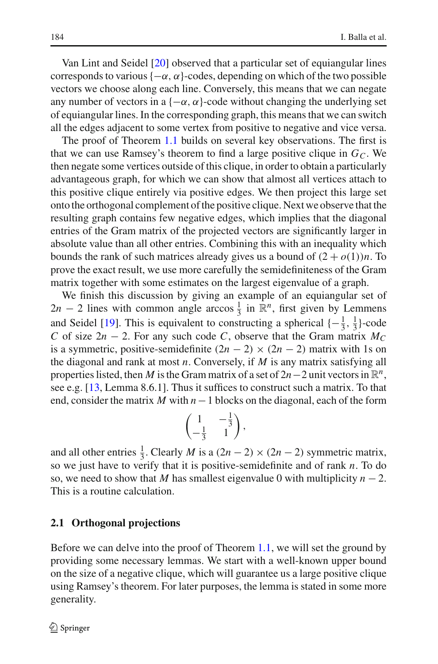Van Lint and Seidel [\[20](#page-33-2)] observed that a particular set of equiangular lines corresponds to various  $\{-\alpha, \alpha\}$ -codes, depending on which of the two possible vectors we choose along each line. Conversely, this means that we can negate any number of vectors in a  $\{-\alpha, \alpha\}$ -code without changing the underlying set of equiangular lines. In the corresponding graph, this means that we can switch all the edges adjacent to some vertex from positive to negative and vice versa.

The proof of Theorem [1.1](#page-2-0) builds on several key observations. The first is that we can use Ramsey's theorem to find a large positive clique in  $G<sub>C</sub>$ . We then negate some vertices outside of this clique, in order to obtain a particularly advantageous graph, for which we can show that almost all vertices attach to this positive clique entirely via positive edges. We then project this large set onto the orthogonal complement of the positive clique. Next we observe that the resulting graph contains few negative edges, which implies that the diagonal entries of the Gram matrix of the projected vectors are significantly larger in absolute value than all other entries. Combining this with an inequality which bounds the rank of such matrices already gives us a bound of  $(2 + o(1))n$ . To prove the exact result, we use more carefully the semidefiniteness of the Gram matrix together with some estimates on the largest eigenvalue of a graph.

We finish this discussion by giving an example of an equiangular set of  $2n - 2$  lines with common angle arccos  $\frac{1}{3}$  in  $\mathbb{R}^n$ , first given by Lemmens and Seidel [\[19](#page-33-6)]. This is equivalent to constructing a spherical  $\{-\frac{1}{3}, \frac{1}{3}\}$ -code *C* of size  $2n - 2$ . For any such code *C*, observe that the Gram matrix  $M_C$ is a symmetric, positive-semidefinite  $(2n - 2) \times (2n - 2)$  matrix with 1s on the diagonal and rank at most *n*. Conversely, if *M* is any matrix satisfying all properties listed, then *M* is the Gram matrix of a set of  $2n-2$  unit vectors in  $\mathbb{R}^n$ , see e.g. [\[13](#page-33-5), Lemma 8.6.1]. Thus it suffices to construct such a matrix. To that end, consider the matrix *M* with *n*−1 blocks on the diagonal, each of the form

$$
\begin{pmatrix} 1 & -\frac{1}{3} \\ -\frac{1}{3} & 1 \end{pmatrix},
$$

and all other entries  $\frac{1}{3}$ . Clearly *M* is a  $(2n - 2) \times (2n - 2)$  symmetric matrix, so we just have to verify that it is positive-semidefinite and of rank *n*. To do so, we need to show that *M* has smallest eigenvalue 0 with multiplicity  $n - 2$ . This is a routine calculation.

## **2.1 Orthogonal projections**

<span id="page-5-0"></span>Before we can delve into the proof of Theorem [1.1,](#page-2-0) we will set the ground by providing some necessary lemmas. We start with a well-known upper bound on the size of a negative clique, which will guarantee us a large positive clique using Ramsey's theorem. For later purposes, the lemma is stated in some more generality.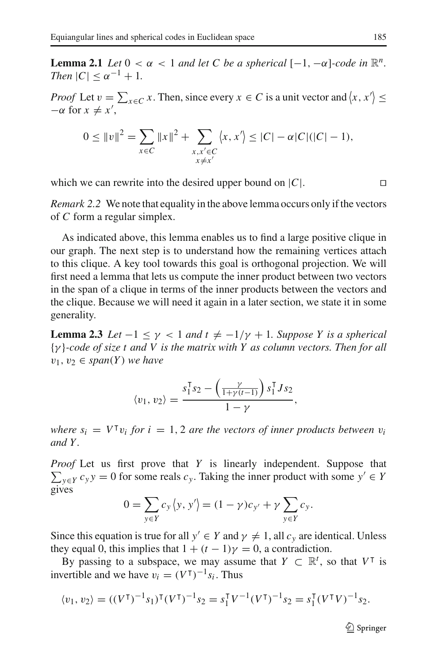**Lemma 2.1** *Let*  $0 < \alpha < 1$  *and let* C *be a spherical*  $[-1, -\alpha]$ *-code in*  $\mathbb{R}^n$ *. Then*  $|C| < \alpha^{-1} + 1$ *.* 

*Proof* Let  $v = \sum_{x \in C} x$ . Then, since every  $x \in C$  is a unit vector and  $\langle x, x' \rangle \le$  $-\alpha$  for  $x \neq x'$ ,

$$
0 \le ||v||^2 = \sum_{x \in C} ||x||^2 + \sum_{\substack{x, x' \in C \\ x \neq x'}} \langle x, x' \rangle \le |C| - \alpha |C| (|C| - 1),
$$

<span id="page-6-1"></span>which we can rewrite into the desired upper bound on  $|C|$ .

*Remark 2.2* We note that equality in the above lemma occurs only if the vectors of *C* form a regular simplex.

As indicated above, this lemma enables us to find a large positive clique in our graph. The next step is to understand how the remaining vertices attach to this clique. A key tool towards this goal is orthogonal projection. We will first need a lemma that lets us compute the inner product between two vectors in the span of a clique in terms of the inner products between the vectors and the clique. Because we will need it again in a later section, we state it in some generality.

<span id="page-6-0"></span>**Lemma 2.3** *Let*  $-1 \leq \gamma < 1$  *and*  $t \neq -1/\gamma + 1$ *. Suppose Y is a spherical* {γ }*-code of size t and V is the matrix with Y as column vectors. Then for all*  $v_1, v_2 \in span(Y)$  *we have* 

$$
\langle v_1, v_2 \rangle = \frac{s_1^{\mathrm{T}} s_2 - \left(\frac{\gamma}{1 + \gamma(t-1)}\right) s_1^{\mathrm{T}} J s_2}{1 - \gamma},
$$

*where*  $s_i = V^{\dagger}v_i$  *for*  $i = 1, 2$  *are the vectors of inner products between*  $v_i$ *and Y .*

*Proof* Let us first prove that *Y* is linearly independent. Suppose that  $\sum_{y \in Y} c_y y = 0$  for some reals  $c_y$ . Taking the inner product with some  $y' \in Y$ gives

$$
0 = \sum_{y \in Y} c_y \langle y, y' \rangle = (1 - \gamma) c_{y'} + \gamma \sum_{y \in Y} c_y.
$$

Since this equation is true for all  $y' \in Y$  and  $\gamma \neq 1$ , all  $c_y$  are identical. Unless they equal 0, this implies that  $1 + (t - 1)\gamma = 0$ , a contradiction.

By passing to a subspace, we may assume that  $Y \subset \mathbb{R}^t$ , so that  $V^{\dagger}$  is invertible and we have  $v_i = (V^{\dagger})^{-1} s_i$ . Thus

$$
\langle v_1, v_2 \rangle = ((V^{\mathsf{T}})^{-1} s_1)^{\mathsf{T}} (V^{\mathsf{T}})^{-1} s_2 = s_1^{\mathsf{T}} V^{-1} (V^{\mathsf{T}})^{-1} s_2 = s_1^{\mathsf{T}} (V^{\mathsf{T}} V)^{-1} s_2.
$$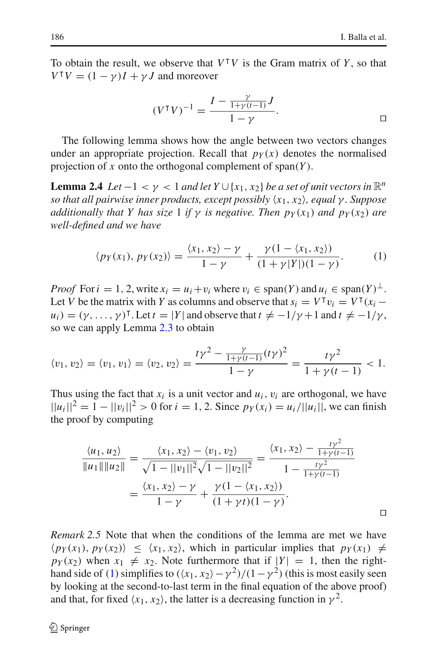To obtain the result, we observe that  $V^{\dagger}V$  is the Gram matrix of *Y*, so that  $V^{\dagger}V = (1 - \gamma)I + \gamma J$  and moreover

<span id="page-7-1"></span>
$$
(V^{\top}V)^{-1} = \frac{I - \frac{\gamma}{1 + \gamma(t-1)}J}{1 - \gamma}.
$$

The following lemma shows how the angle between two vectors changes under an appropriate projection. Recall that  $p_Y(x)$  denotes the normalised projection of *x* onto the orthogonal complement of span(*Y* ).

**Lemma 2.4** *Let*  $-1 < \gamma < 1$  *and let*  $Y \cup \{x_1, x_2\}$  *be a set of unit vectors in*  $\mathbb{R}^n$ *so that all pairwise inner products, except possibly x*1, *x*2*, equal* γ *. Suppose additionally that Y has size* 1 *if*  $\gamma$  *is negative. Then*  $p_Y(x_1)$  *and*  $p_Y(x_2)$  *are well-defined and we have*

<span id="page-7-0"></span>
$$
\langle p_Y(x_1), p_Y(x_2) \rangle = \frac{\langle x_1, x_2 \rangle - \gamma}{1 - \gamma} + \frac{\gamma (1 - \langle x_1, x_2 \rangle)}{(1 + \gamma |Y|)(1 - \gamma)}.
$$
 (1)

*Proof* For  $i = 1, 2$ , write  $x_i = u_i + v_i$  where  $v_i \in \text{span}(Y)$  and  $u_i \in \text{span}(Y)^{\perp}$ . Let *V* be the matrix with *Y* as columns and observe that  $s_i = V^{\mathsf{T}} v_i = V^{\mathsf{T}} (x_i$  $u_i$ ) =  $(\gamma, ..., \gamma)$ <sup>T</sup>. Let  $t = |Y|$  and observe that  $t \neq -1/\gamma + 1$  and  $t \neq -1/\gamma$ , so we can apply Lemma [2.3](#page-6-0) to obtain

$$
\langle v_1, v_2 \rangle = \langle v_1, v_1 \rangle = \langle v_2, v_2 \rangle = \frac{t\gamma^2 - \frac{\gamma}{1+\gamma(t-1)}(t\gamma)^2}{1-\gamma} = \frac{t\gamma^2}{1+\gamma(t-1)} < 1.
$$

Thus using the fact that  $x_i$  is a unit vector and  $u_i$ ,  $v_i$  are orthogonal, we have  $||u_i||^2 = 1 - ||v_i||^2 > 0$  for  $i = 1, 2$ . Since  $p_Y(x_i) = u_i/||u_i||$ , we can finish the proof by computing

$$
\frac{\langle u_1, u_2 \rangle}{\|u_1\| \|u_2\|} = \frac{\langle x_1, x_2 \rangle - \langle v_1, v_2 \rangle}{\sqrt{1 - ||v_1||^2} \sqrt{1 - ||v_2||^2}} = \frac{\langle x_1, x_2 \rangle - \frac{t\gamma^2}{1 + \gamma(t - 1)}}{1 - \frac{t\gamma^2}{1 + \gamma(t - 1)}}
$$

$$
= \frac{\langle x_1, x_2 \rangle - \gamma}{1 - \gamma} + \frac{\gamma(1 - \langle x_1, x_2 \rangle)}{(1 + \gamma t)(1 - \gamma)}.
$$

<span id="page-7-2"></span>*Remark 2.5* Note that when the conditions of the lemma are met we have  $\langle p_Y(x_1), p_Y(x_2) \rangle \leq \langle x_1, x_2 \rangle$ , which in particular implies that  $p_Y(x_1) \neq$  $p_Y(x_2)$  when  $x_1 \neq x_2$ . Note furthermore that if  $|Y| = 1$ , then the right-hand side of [\(1\)](#page-7-0) simplifies to  $(\langle x_1, x_2 \rangle - \gamma^2)/(1 - \gamma^2)$  (this is most easily seen by looking at the second-to-last term in the final equation of the above proof) and that, for fixed  $\langle x_1, x_2 \rangle$ , the latter is a decreasing function in  $\gamma^2$ .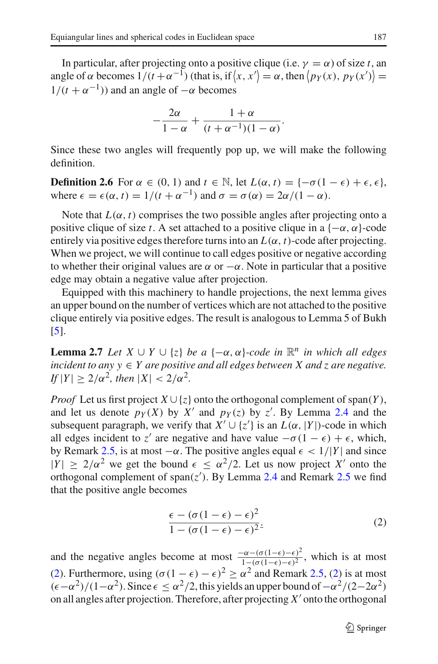In particular, after projecting onto a positive clique (i.e.  $\gamma = \alpha$ ) of size *t*, an angle of  $\alpha$  becomes  $1/(t + \alpha^{-1})$  (that is, if  $\langle x, x' \rangle = \alpha$ , then  $\langle p_Y(x), p_Y(x') \rangle =$  $1/(t + \alpha^{-1})$ ) and an angle of  $-\alpha$  becomes

$$
-\frac{2\alpha}{1-\alpha}+\frac{1+\alpha}{(t+\alpha^{-1})(1-\alpha)}.
$$

Since these two angles will frequently pop up, we will make the following definition.

**Definition 2.6** For  $\alpha \in (0, 1)$  and  $t \in \mathbb{N}$ , let  $L(\alpha, t) = \{-\sigma(1 - \epsilon) + \epsilon, \epsilon\},\$ where  $\epsilon = \epsilon(\alpha, t) = 1/(t + \alpha^{-1})$  and  $\sigma = \sigma(\alpha) = 2\alpha/(1 - \alpha)$ .

Note that  $L(\alpha, t)$  comprises the two possible angles after projecting onto a positive clique of size *t*. A set attached to a positive clique in a  $\{-\alpha, \alpha\}$ -code entirely via positive edges therefore turns into an  $L(\alpha, t)$ -code after projecting. When we project, we will continue to call edges positive or negative according to whether their original values are  $\alpha$  or  $-\alpha$ . Note in particular that a positive edge may obtain a negative value after projection.

Equipped with this machinery to handle projections, the next lemma gives an upper bound on the number of vertices which are not attached to the positive clique entirely via positive edges. The result is analogous to Lemma 5 of Bukh [\[5\]](#page-33-12).

<span id="page-8-1"></span>**Lemma 2.7** *Let X* ∪ *Y* ∪ {*z*} *be a* {−α, α}*-code in*  $\mathbb{R}^n$  *in which all edges incident to any*  $y \in Y$  *are positive and all edges between X and z are negative.*  $I_f |Y| > 2/\alpha^2$ , then  $|X| < 2/\alpha^2$ .

*Proof* Let us first project  $X \cup \{z\}$  onto the orthogonal complement of span(*Y*), and let us denote  $p_Y(X)$  by  $X'$  and  $p_Y(z)$  by  $z'$ . By Lemma [2.4](#page-7-1) and the subsequent paragraph, we verify that  $X' \cup \{z'\}$  is an  $L(\alpha, |Y|)$ -code in which all edges incident to *z'* are negative and have value  $-\sigma(1 - \epsilon) + \epsilon$ , which, by Remark [2.5,](#page-7-2) is at most  $-\alpha$ . The positive angles equal  $\epsilon < 1/|Y|$  and since  $|Y| \ge 2/\alpha^2$  we get the bound  $\epsilon \le \alpha^2/2$ . Let us now project X' onto the orthogonal complement of span(*z* ). By Lemma [2.4](#page-7-1) and Remark [2.5](#page-7-2) we find that the positive angle becomes

<span id="page-8-0"></span>
$$
\frac{\epsilon - (\sigma(1 - \epsilon) - \epsilon)^2}{1 - (\sigma(1 - \epsilon) - \epsilon)^2}.
$$
\n(2)

and the negative angles become at most  $\frac{-\alpha - (\sigma(1-\epsilon) - \epsilon)^2}{1 - (\sigma(1-\epsilon) - \epsilon)^2}$ , which is at most [\(2\)](#page-8-0). Furthermore, using  $({\sigma (1 - \epsilon) - \epsilon})^2 \geq {\alpha}^2$  and Remark [2.5,](#page-7-2) (2) is at most  $(\epsilon - \alpha^2)/(1-\alpha^2)$ . Since  $\epsilon \le \alpha^2/2$ , this yields an upper bound of  $-\alpha^2/(2-2\alpha^2)$ on all angles after projection. Therefore, after projecting  $X'$  onto the orthogonal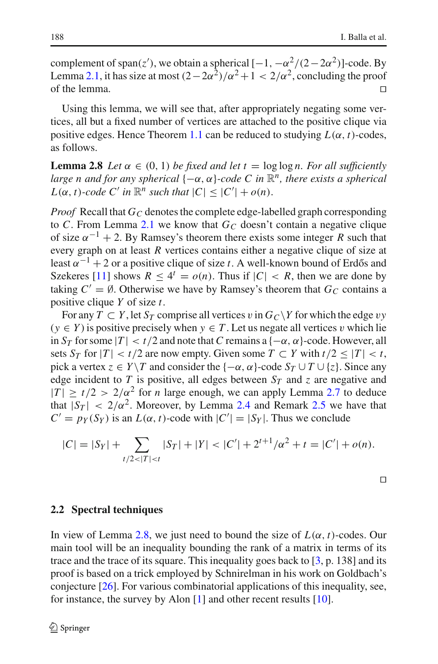complement of span(*z'*), we obtain a spherical  $[-1, -\alpha^2/(2-2\alpha^2)]$ -code. By Lemma [2.1,](#page-5-0) it has size at most  $(2-2\alpha^2)/\alpha^2+1 < 2/\alpha^2$ , concluding the proof of the lemma. of the lemma.

Using this lemma, we will see that, after appropriately negating some vertices, all but a fixed number of vertices are attached to the positive clique via positive edges. Hence Theorem [1.1](#page-2-0) can be reduced to studying  $L(\alpha, t)$ -codes, as follows.

<span id="page-9-0"></span>**Lemma 2.8** *Let*  $\alpha \in (0, 1)$  *be fixed and let*  $t = \log \log n$ *. For all sufficiently large n and for any spherical* {−α, α}*-code C in* <sup>R</sup>*n, there exists a spherical*  $L(\alpha, t)$ -code C' in  $\mathbb{R}^n$  such that  $|C| \leq |C'| + o(n)$ .

*Proof* Recall that  $G_C$  denotes the complete edge-labelled graph corresponding to *C*. From Lemma [2.1](#page-5-0) we know that  $G_C$  doesn't contain a negative clique of size  $\alpha^{-1}$  + 2. By Ramsey's theorem there exists some integer *R* such that every graph on at least *R* vertices contains either a negative clique of size at least  $\alpha^{-1}$  + 2 or a positive clique of size *t*. A well-known bound of Erdős and Szekeres [\[11](#page-33-17)] shows  $R \leq 4^t = o(n)$ . Thus if  $|C| < R$ , then we are done by taking  $C' = \emptyset$ . Otherwise we have by Ramsey's theorem that  $G_C$  contains a positive clique *Y* of size *t*.

For any  $T \subset Y$ , let  $S_T$  comprise all vertices v in  $G_C \backslash Y$  for which the edge vy  $(y \in Y)$  is positive precisely when  $y \in T$ . Let us negate all vertices v which lie in  $S_T$  for some  $|T| < t/2$  and note that C remains a  $\{-\alpha, \alpha\}$ -code. However, all sets  $S_T$  for  $|T| < t/2$  are now empty. Given some  $T \subset Y$  with  $t/2 \leq |T| < t$ , pick a vertex  $z \in Y \setminus T$  and consider the  $\{-\alpha, \alpha\}$ -code  $S_T \cup T \cup \{z\}$ . Since any edge incident to *T* is positive, all edges between  $S_T$  and *z* are negative and  $|T| \ge t/2 > 2/\alpha^2$  for *n* large enough, we can apply Lemma [2.7](#page-8-1) to deduce that  $|S_T| < 2/\alpha^2$ . Moreover, by Lemma [2.4](#page-7-1) and Remark [2.5](#page-7-2) we have that  $C' = p_Y(S_Y)$  is an  $L(\alpha, t)$ -code with  $|C'| = |S_Y|$ . Thus we conclude

$$
|C| = |S_Y| + \sum_{t/2 < |T| < t} |S_T| + |Y| < |C'| + 2^{t+1}/\alpha^2 + t = |C'| + o(n).
$$

<span id="page-9-1"></span>
$$
\Box
$$

#### **2.2 Spectral techniques**

In view of Lemma [2.8,](#page-9-0) we just need to bound the size of  $L(\alpha, t)$ -codes. Our main tool will be an inequality bounding the rank of a matrix in terms of its trace and the trace of its square. This inequality goes back to  $[3, p. 138]$  $[3, p. 138]$  and its proof is based on a trick employed by Schnirelman in his work on Goldbach's conjecture [\[26](#page-33-18)]. For various combinatorial applications of this inequality, see, for instance, the survey by Alon [\[1\]](#page-32-3) and other recent results [\[10\]](#page-33-19).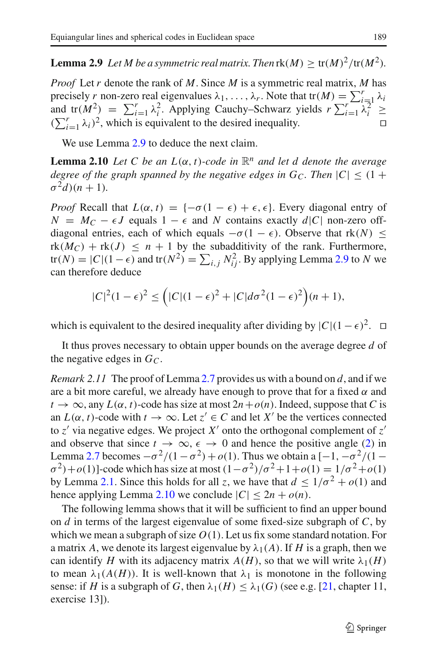**Lemma 2.9** *Let M be a symmetric real matrix. Then*  $\text{rk}(M) > \text{tr}(M)^2/\text{tr}(M^2)$ *.* 

*Proof* Let *r* denote the rank of *M*. Since *M* is a symmetric real matrix, *M* has precisely *r* non-zero real eigenvalues  $\lambda_1, \ldots, \lambda_r$ . Note that  $tr(M) = \sum_{i=1}^r \lambda_i$ and  $tr(M^2) = \sum_{i=1}^r \lambda_i^2$ . Applying Cauchy–Schwarz yields  $r \sum_{i=1}^r \lambda_i^2 \ge$  $(\sum_{i=1}^r \lambda_i)^2$ , which is equivalent to the desired inequality.

<span id="page-10-0"></span>We use Lemma [2.9](#page-9-1) to deduce the next claim.

**Lemma 2.10** *Let C be an*  $L(\alpha, t)$ *-code in*  $\mathbb{R}^n$  *and let d denote the average degree of the graph spanned by the negative edges in G<sub>C</sub>. Then*  $|C| \leq (1 +$  $\sigma^2$ *d*)(*n* + 1).

*Proof* Recall that  $L(\alpha, t) = \{-\sigma(1 - \epsilon) + \epsilon, \epsilon\}$ . Every diagonal entry of  $N = M_C - \epsilon J$  equals  $1 - \epsilon$  and *N* contains exactly  $d|C|$  non-zero offdiagonal entries, each of which equals  $-\sigma(1 - \epsilon)$ . Observe that rk(*N*)  $\leq$  $rk(M_C) + rk(J) \leq n + 1$  by the subadditivity of the rank. Furthermore, tr(*N*) =  $|C|(1 - \epsilon)$  and tr( $N^2$ ) =  $\sum_{i,j} N_{ij}^2$ . By applying Lemma [2.9](#page-9-1) to *N* we can therefore deduce

$$
|C|^2(1-\epsilon)^2 \le (|C|(1-\epsilon)^2 + |C|d\sigma^2(1-\epsilon)^2)(n+1),
$$

which is equivalent to the desired inequality after dividing by  $|C|(1 - \epsilon)^2$ . □

It thus proves necessary to obtain upper bounds on the average degree *d* of the negative edges in  $G<sub>C</sub>$ .

*Remark 2.11* The proof of Lemma [2.7](#page-8-1) provides us with a bound on *d*, and if we are a bit more careful, we already have enough to prove that for a fixed  $\alpha$  and  $t \to \infty$ , any  $L(\alpha, t)$ -code has size at most  $2n + o(n)$ . Indeed, suppose that *C* is an  $L(\alpha, t)$ -code with  $t \to \infty$ . Let  $z' \in C$  and let  $X'$  be the vertices connected to  $z'$  via negative edges. We project  $X'$  onto the orthogonal complement of  $z'$ and observe that since  $t \to \infty$ ,  $\epsilon \to 0$  and hence the positive angle [\(2\)](#page-8-0) in Lemma [2.7](#page-8-1) becomes  $-\sigma^2/(1-\sigma^2)+o(1)$ . Thus we obtain a  $[-1, -\sigma^2/(1-\sigma^2)]$  $\sigma^2$ )+*o*(1)]-code which has size at most  $(1 - \sigma^2)/\sigma^2 + 1 + o(1) = 1/\sigma^2 + o(1)$ by Lemma [2.1.](#page-5-0) Since this holds for all *z*, we have that  $d \leq 1/\sigma^2 + o(1)$  and hence applying Lemma [2.10](#page-10-0) we conclude  $|C| \leq 2n + o(n)$ .

<span id="page-10-1"></span>The following lemma shows that it will be sufficient to find an upper bound on *d* in terms of the largest eigenvalue of some fixed-size subgraph of *C*, by which we mean a subgraph of size  $O(1)$ . Let us fix some standard notation. For a matrix A, we denote its largest eigenvalue by  $\lambda_1(A)$ . If H is a graph, then we can identify *H* with its adjacency matrix  $A(H)$ , so that we will write  $\lambda_1(H)$ to mean  $\lambda_1(A(H))$ . It is well-known that  $\lambda_1$  is monotone in the following sense: if *H* is a subgraph of *G*, then  $\lambda_1(H) \leq \lambda_1(G)$  (see e.g. [\[21](#page-33-20), chapter 11, exercise 13]).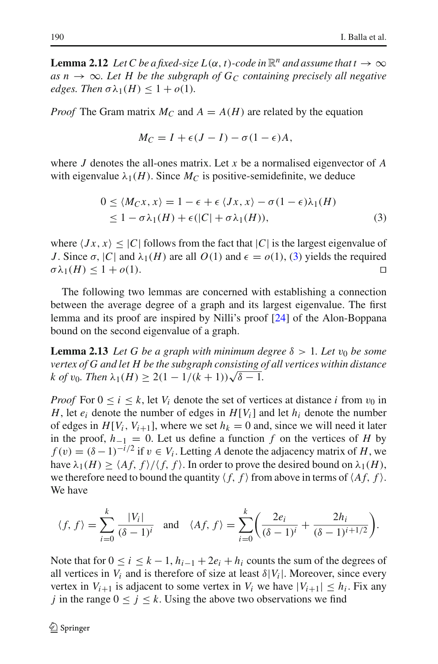**Lemma 2.12** *Let C be a fixed-size L*( $\alpha$ , *t*)*-code in*  $\mathbb{R}^n$  *and assume that t*  $\rightarrow \infty$ *as n*  $\rightarrow \infty$ *. Let H be the subgraph of G<sub>C</sub> containing precisely all negative edges. Then*  $\sigma \lambda_1(H) \leq 1 + o(1)$ .

*Proof* The Gram matrix  $M_C$  and  $A = A(H)$  are related by the equation

$$
M_C = I + \epsilon (J - I) - \sigma (1 - \epsilon) A,
$$

where *J* denotes the all-ones matrix. Let *x* be a normalised eigenvector of *A* with eigenvalue  $\lambda_1(H)$ . Since  $M_C$  is positive-semidefinite, we deduce

<span id="page-11-1"></span><span id="page-11-0"></span>
$$
0 \le \langle M_C x, x \rangle = 1 - \epsilon + \epsilon \langle Jx, x \rangle - \sigma (1 - \epsilon) \lambda_1(H)
$$
  
\n
$$
\le 1 - \sigma \lambda_1(H) + \epsilon (|C| + \sigma \lambda_1(H)), \tag{3}
$$

where  $\langle Jx, x \rangle \leq |C|$  follows from the fact that  $|C|$  is the largest eigenvalue of *J*. Since  $\sigma$ ,  $|C|$  and  $\lambda_1(H)$  are all  $O(1)$  and  $\epsilon = o(1)$ , [\(3\)](#page-11-0) yields the required  $\sigma \lambda_1(H) \leq 1 + o(1)$ .  $\sigma \lambda_1(H) \leq 1 + o(1).$ 

The following two lemmas are concerned with establishing a connection between the average degree of a graph and its largest eigenvalue. The first lemma and its proof are inspired by Nilli's proof [\[24\]](#page-33-21) of the Alon-Boppana bound on the second eigenvalue of a graph.

**Lemma 2.13** *Let* G *be a graph with minimum degree*  $\delta > 1$ *. Let*  $v_0$  *be some vertex of G and let H be the subgraph consisting of all vertices within distance*  $k \text{ of } v_0$ . Then  $\lambda_1(H) > 2(1 - 1/(k+1))\sqrt{\delta - 1}$ .

*Proof* For  $0 \le i \le k$ , let  $V_i$  denote the set of vertices at distance *i* from  $v_0$  in *H*, let  $e_i$  denote the number of edges in  $H[V_i]$  and let  $h_i$  denote the number of edges in  $H[V_i, V_{i+1}]$ , where we set  $h_k = 0$  and, since we will need it later in the proof,  $h_{-1} = 0$ . Let us define a function  $f$  on the vertices of  $H$  by  $f(v) = (\delta - 1)^{-i/2}$  if  $v \in V_i$ . Letting *A* denote the adjacency matrix of *H*, we have  $\lambda_1(H) \ge \langle Af, f \rangle / \langle f, f \rangle$ . In order to prove the desired bound on  $\lambda_1(H)$ , we therefore need to bound the quantity  $\langle f, f \rangle$  from above in terms of  $\langle Af, f \rangle$ . We have

$$
\langle f, f \rangle = \sum_{i=0}^{k} \frac{|V_i|}{(\delta - 1)^i}
$$
 and  $\langle Af, f \rangle = \sum_{i=0}^{k} \left( \frac{2e_i}{(\delta - 1)^i} + \frac{2h_i}{(\delta - 1)^{i+1/2}} \right).$ 

Note that for  $0 \le i \le k-1$ ,  $h_{i-1} + 2e_i + h_i$  counts the sum of the degrees of all vertices in  $V_i$  and is therefore of size at least  $\delta |V_i|$ . Moreover, since every vertex in  $V_{i+1}$  is adjacent to some vertex in  $V_i$  we have  $|V_{i+1}| \leq h_i$ . Fix any *j* in the range  $0 \le j \le k$ . Using the above two observations we find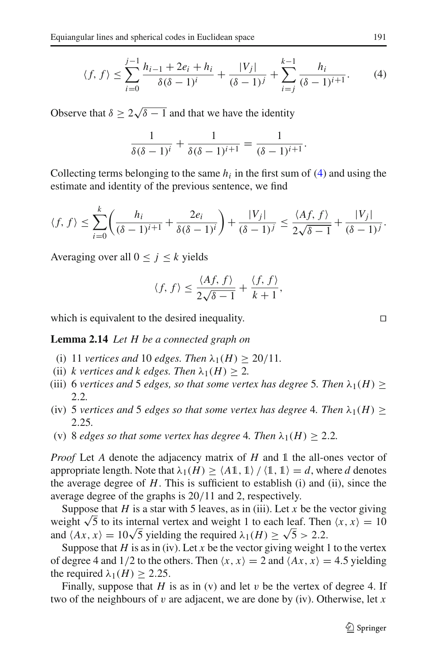<span id="page-12-0"></span>
$$
\langle f, f \rangle \le \sum_{i=0}^{j-1} \frac{h_{i-1} + 2e_i + h_i}{\delta(\delta - 1)^i} + \frac{|V_j|}{(\delta - 1)^j} + \sum_{i=j}^{k-1} \frac{h_i}{(\delta - 1)^{i+1}}.
$$
 (4)

Observe that  $\delta \ge 2\sqrt{\delta - 1}$  and that we have the identity

$$
\frac{1}{\delta(\delta-1)^i} + \frac{1}{\delta(\delta-1)^{i+1}} = \frac{1}{(\delta-1)^{i+1}}.
$$

Collecting terms belonging to the same  $h_i$  in the first sum of  $(4)$  and using the estimate and identity of the previous sentence, we find

$$
\langle f, f \rangle \leq \sum_{i=0}^k \left( \frac{h_i}{(\delta-1)^{i+1}} + \frac{2e_i}{\delta(\delta-1)^i} \right) + \frac{|V_j|}{(\delta-1)^j} \leq \frac{\langle Af, f \rangle}{2\sqrt{\delta-1}} + \frac{|V_j|}{(\delta-1)^j}.
$$

Averaging over all  $0 \le j \le k$  yields

$$
\langle f, f \rangle \le \frac{\langle Af, f \rangle}{2\sqrt{\delta - 1}} + \frac{\langle f, f \rangle}{k + 1},
$$

<span id="page-12-1"></span>which is equivalent to the desired inequality.  $\Box$ 

**Lemma 2.14** *Let H be a connected graph on*

- (i) 11 *vertices and* 10 *edges. Then*  $\lambda_1(H) > 20/11$ .
- (ii) *k* vertices and *k* edges. Then  $\lambda_1(H) > 2$ .
- (iii) 6 *vertices and* 5 *edges, so that some vertex has degree* 5*. Then*  $\lambda_1(H)$  > 2.2*.*
- (iv) 5 *vertices and* 5 *edges so that some vertex has degree* 4. Then  $\lambda_1(H)$  > 2.25*.*
- (v) 8 *edges so that some vertex has degree* 4*. Then*  $\lambda_1(H) \geq 2.2$ *.*

*Proof* Let *A* denote the adjacency matrix of *H* and 1 the all-ones vector of appropriate length. Note that  $\lambda_1(H) \ge \langle A1, 1 \rangle / \langle 1, 1 \rangle = d$ , where *d* denotes the average degree of *H*. This is sufficient to establish (i) and (ii), since the average degree of the graphs is 20/11 and 2, respectively.

Suppose that  $H$  is a star with 5 leaves, as in (iii). Let  $x$  be the vector giving weight  $\sqrt{5}$  to its internal vertex and weight 1 to each leaf. Then  $\langle x, x \rangle = 10$ and  $\langle Ax, x \rangle = 10\sqrt{5}$  yielding the required  $\lambda_1(H) \ge \sqrt{5} > 2.2$ .

Suppose that  $H$  is as in (iv). Let  $x$  be the vector giving weight 1 to the vertex of degree 4 and 1/2 to the others. Then  $\langle x, x \rangle = 2$  and  $\langle Ax, x \rangle = 4.5$  yielding the required  $\lambda_1(H) \geq 2.25$ .

Finally, suppose that *H* is as in (v) and let v be the vertex of degree 4. If two of the neighbours of v are adjacent, we are done by (iv). Otherwise, let *x*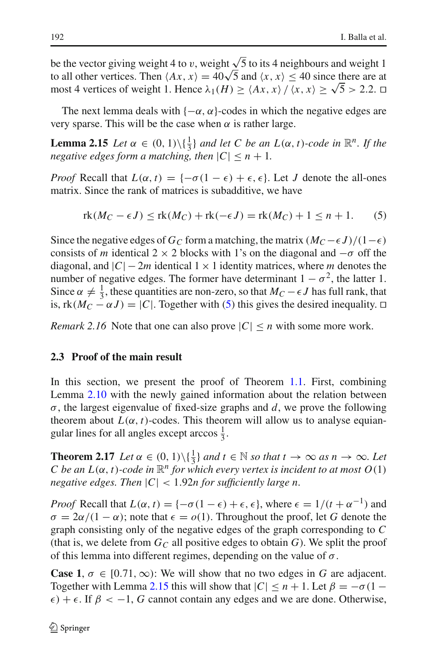be the vector giving weight 4 to v, weight  $\sqrt{5}$  to its 4 neighbours and weight 1 to all other vertices. Then  $\langle Ax, x \rangle = 40\sqrt{5}$  and  $\langle x, x \rangle \le 40$  since there are at most 4 vertices of weight 1. Hence  $\lambda_1(H) \ge \langle Ax, x \rangle / \langle x, x \rangle \ge \sqrt{5} > 2.2$ .  $\square$ 

The next lemma deals with  $\{-\alpha, \alpha\}$ -codes in which the negative edges are very sparse. This will be the case when  $\alpha$  is rather large.

**Lemma 2.15** *Let*  $\alpha \in (0, 1) \setminus \{\frac{1}{3}\}\$  *and let C be an*  $L(\alpha, t)$ *-code in*  $\mathbb{R}^n$ *. If the negative edges form a matching, then*  $|C| \leq n + 1$ *.* 

*Proof* Recall that  $L(\alpha, t) = \{-\sigma(1 - \epsilon) + \epsilon, \epsilon\}$ . Let *J* denote the all-ones matrix. Since the rank of matrices is subadditive, we have

<span id="page-13-1"></span><span id="page-13-0"></span>
$$
rk(M_C - \epsilon J) \le rk(M_C) + rk(-\epsilon J) = rk(M_C) + 1 \le n + 1. \tag{5}
$$

Since the negative edges of *G<sub>C</sub>* form a matching, the matrix  $(M_C - \epsilon J)/(1 - \epsilon)$ consists of *m* identical 2 × 2 blocks with 1's on the diagonal and  $-\sigma$  off the diagonal, and  $|C| - 2m$  identical  $1 \times 1$  identity matrices, where *m* denotes the number of negative edges. The former have determinant  $1 - \sigma^2$ , the latter 1. Since  $\alpha \neq \frac{1}{3}$ , these quantities are non-zero, so that  $M_C - \epsilon J$  has full rank, that is,  $rk(M_C - \alpha J) = |C|$ . Together with [\(5\)](#page-13-0) this gives the desired inequality.  $\Box$ 

*Remark 2.16* Note that one can also prove  $|C| \le n$  with some more work.

# **2.3 Proof of the main result**

In this section, we present the proof of Theorem [1.1.](#page-2-0) First, combining Lemma [2.10](#page-10-0) with the newly gained information about the relation between σ, the largest eigenvalue of fixed-size graphs and *d*, we prove the following theorem about  $L(\alpha, t)$ -codes. This theorem will allow us to analyse equiangular lines for all angles except arccos  $\frac{1}{3}$ .

<span id="page-13-2"></span>**Theorem 2.17** *Let*  $\alpha \in (0, 1) \setminus \{\frac{1}{3}\}$  *and*  $t \in \mathbb{N}$  *so that*  $t \to \infty$  *as*  $n \to \infty$ *. Let C* be an  $L(\alpha, t)$ -code in  $\mathbb{R}^n$  for which every vertex is incident to at most  $O(1)$ *negative edges. Then* |*C*| < 1.92*n for sufficiently large n.*

*Proof* Recall that  $L(\alpha, t) = \{-\sigma(1 - \epsilon) + \epsilon, \epsilon\}$ , where  $\epsilon = 1/(t + \alpha^{-1})$  and  $\sigma = 2\alpha/(1 - \alpha)$ ; note that  $\epsilon = o(1)$ . Throughout the proof, let G denote the graph consisting only of the negative edges of the graph corresponding to *C* (that is, we delete from  $G_C$  all positive edges to obtain  $G$ ). We split the proof of this lemma into different regimes, depending on the value of  $\sigma$ .

**Case 1,**  $\sigma \in [0.71, \infty)$ : We will show that no two edges in G are adjacent. Together with Lemma [2.15](#page-13-1) this will show that  $|C| \le n + 1$ . Let  $\beta = -\sigma(1 \epsilon$ ) +  $\epsilon$ . If  $\beta$  < -1, *G* cannot contain any edges and we are done. Otherwise,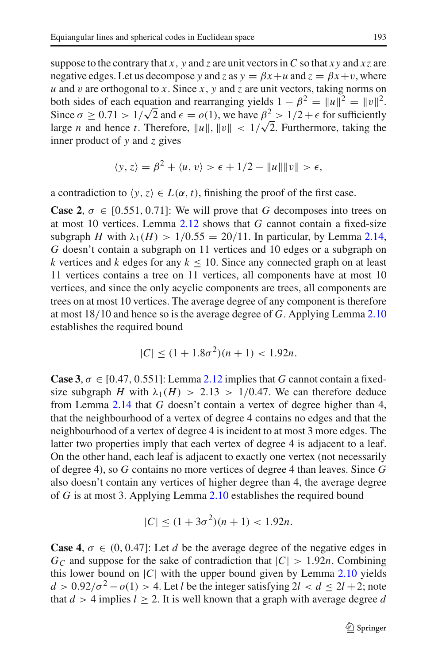suppose to the contrary that *x*, *y* and *z* are unit vectors in *C* so that *xy* and *xz* are negative edges. Let us decompose *y* and *z* as  $y = \beta x + u$  and  $z = \beta x + v$ , where *u* and *v* are orthogonal to *x*. Since *x*, *y* and *z* are unit vectors, taking norms on both sides of each equation and rearranging yields  $1 - \beta^2 = ||u||^2 = ||v||^2$ . Since  $\sigma \ge 0.71 > 1/\sqrt{2}$  and  $\epsilon = o(1)$ , we have  $\beta^2 > 1/2 + \epsilon$  for sufficiently large *n* and hence *t*. Therefore,  $||u||$ ,  $||v|| < 1/\sqrt{2}$ . Furthermore, taking the inner product of *y* and *z* gives

$$
\langle y, z \rangle = \beta^2 + \langle u, v \rangle > \epsilon + 1/2 - ||u|| ||v|| > \epsilon,
$$

a contradiction to  $\langle y, z \rangle \in L(\alpha, t)$ , finishing the proof of the first case.

**Case 2,**  $\sigma \in [0.551, 0.71]$ : We will prove that *G* decomposes into trees on at most 10 vertices. Lemma [2.12](#page-10-1) shows that *G* cannot contain a fixed-size subgraph *H* with  $\lambda_1(H) > 1/0.55 = 20/11$ . In particular, by Lemma [2.14,](#page-12-1) *G* doesn't contain a subgraph on 11 vertices and 10 edges or a subgraph on *k* vertices and *k* edges for any  $k \le 10$ . Since any connected graph on at least 11 vertices contains a tree on 11 vertices, all components have at most 10 vertices, and since the only acyclic components are trees, all components are trees on at most 10 vertices. The average degree of any component is therefore at most 18/10 and hence so is the average degree of *G*. Applying Lemma [2.10](#page-10-0) establishes the required bound

$$
|C| \le (1 + 1.8\sigma^2)(n+1) < 1.92n.
$$

**Case 3**,  $\sigma \in [0.47, 0.551]$ : Lemma [2.12](#page-10-1) implies that *G* cannot contain a fixedsize subgraph *H* with  $\lambda_1(H) > 2.13 > 1/0.47$ . We can therefore deduce from Lemma [2.14](#page-12-1) that *G* doesn't contain a vertex of degree higher than 4, that the neighbourhood of a vertex of degree 4 contains no edges and that the neighbourhood of a vertex of degree 4 is incident to at most 3 more edges. The latter two properties imply that each vertex of degree 4 is adjacent to a leaf. On the other hand, each leaf is adjacent to exactly one vertex (not necessarily of degree 4), so *G* contains no more vertices of degree 4 than leaves. Since *G* also doesn't contain any vertices of higher degree than 4, the average degree of *G* is at most 3. Applying Lemma [2.10](#page-10-0) establishes the required bound

$$
|C| \le (1 + 3\sigma^2)(n+1) < 1.92n.
$$

**Case 4,**  $\sigma \in (0, 0.47]$ : Let *d* be the average degree of the negative edges in  $G_C$  and suppose for the sake of contradiction that  $|C| > 1.92n$ . Combining this lower bound on  $|C|$  with the upper bound given by Lemma [2.10](#page-10-0) yields  $d > 0.92/\sigma^2 - o(1) > 4$ . Let *l* be the integer satisfying  $2l < d \le 2l + 2$ ; note that  $d > 4$  implies  $l \geq 2$ . It is well known that a graph with average degree d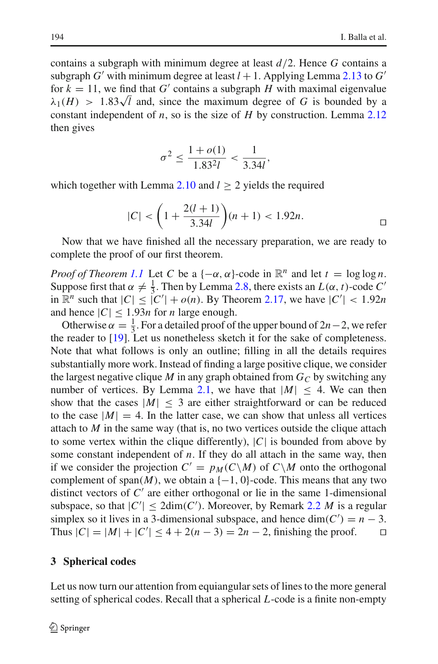contains a subgraph with minimum degree at least *d*/2. Hence *G* contains a subgraph *G'* with minimum degree at least  $l + 1$ . Applying Lemma [2.13](#page-11-1) to *G'* for  $k = 11$ , we find that G' contains a subgraph H with maximal eigenvalue  $\lambda_1(H) > 1.83\sqrt{l}$  and, since the maximum degree of *G* is bounded by a constant independent of *n*, so is the size of *H* by construction. Lemma [2.12](#page-10-1) then gives

$$
\sigma^2 \le \frac{1 + o(1)}{1.83^2 l} < \frac{1}{3.34l}
$$

which together with Lemma [2.10](#page-10-0) and  $l \geq 2$  yields the required

$$
|C| < \left(1 + \frac{2(l+1)}{3.34l}\right)(n+1) < 1.92n. \quad \Box
$$

Now that we have finished all the necessary preparation, we are ready to complete the proof of our first theorem.

*Proof of Theorem [1.1](#page-2-0)* Let *C* be a  $\{-\alpha, \alpha\}$ -code in  $\mathbb{R}^n$  and let  $t = \log \log n$ . Suppose first that  $\alpha \neq \frac{1}{3}$ . Then by Lemma [2.8,](#page-9-0) there exists an  $L(\alpha, t)$ -code  $C'$ in  $\mathbb{R}^n$  such that  $|C| \leq |C'| + o(n)$ . By Theorem [2.17,](#page-13-2) we have  $|C'| < 1.92n$ and hence  $|C| \leq 1.93n$  for *n* large enough.

Otherwise  $\alpha = \frac{1}{3}$ . For a detailed proof of the upper bound of 2*n*−2, we refer the reader to [\[19](#page-33-6)]. Let us nonetheless sketch it for the sake of completeness. Note that what follows is only an outline; filling in all the details requires substantially more work. Instead of finding a large positive clique, we consider the largest negative clique *M* in any graph obtained from  $G_C$  by switching any number of vertices. By Lemma [2.1,](#page-5-0) we have that  $|M| < 4$ . We can then show that the cases  $|M| < 3$  are either straightforward or can be reduced to the case  $|M| = 4$ . In the latter case, we can show that unless all vertices attach to *M* in the same way (that is, no two vertices outside the clique attach to some vertex within the clique differently), |*C*| is bounded from above by some constant independent of *n*. If they do all attach in the same way, then if we consider the projection  $C' = p_M(C \setminus M)$  of  $C \setminus M$  onto the orthogonal complement of span $(M)$ , we obtain a  $\{-1, 0\}$ -code. This means that any two distinct vectors of  $C'$  are either orthogonal or lie in the same 1-dimensional subspace, so that  $|C'| \leq 2dim(C')$ . Moreover, by Remark [2.2](#page-6-1) *M* is a regular simplex so it lives in a 3-dimensional subspace, and hence  $\dim(C') = n - 3$ . Thus  $|C| = |M| + |C'|$  ≤ 4 + 2(*n* − 3) = 2*n* − 2, finishing the proof.  $\square$ 

## <span id="page-15-0"></span>**3 Spherical codes**

Let us now turn our attention from equiangular sets of lines to the more general setting of spherical codes. Recall that a spherical *L*-code is a finite non-empty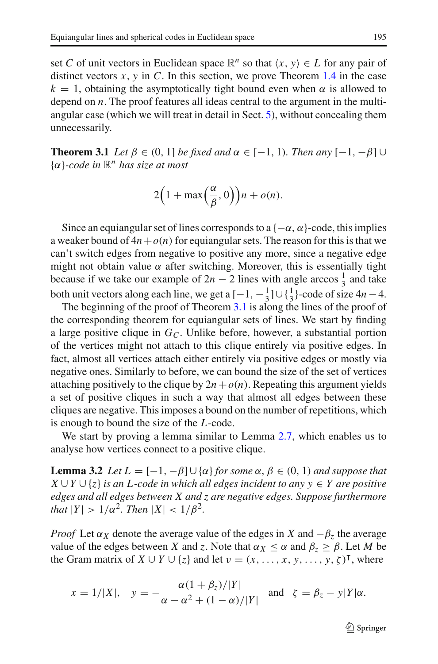set *C* of unit vectors in Euclidean space  $\mathbb{R}^n$  so that  $\langle x, y \rangle \in L$  for any pair of distinct vectors  $x$ ,  $y$  in  $C$ . In this section, we prove Theorem [1.4](#page-3-0) in the case  $k = 1$ , obtaining the asymptotically tight bound even when  $\alpha$  is allowed to depend on *n*. The proof features all ideas central to the argument in the multiangular case (which we will treat in detail in Sect. [5\)](#page-22-0), without concealing them unnecessarily.

<span id="page-16-0"></span>**Theorem 3.1** *Let*  $\beta \in (0, 1]$  *be fixed and*  $\alpha \in [-1, 1)$ *. Then any*  $[-1, -\beta]$  ∪ {α}*-code in* <sup>R</sup>*<sup>n</sup> has size at most*

$$
2\Big(1+\max\Big(\frac{\alpha}{\beta},0\Big)\Big)n+o(n).
$$

Since an equiangular set of lines corresponds to a  $\{-\alpha, \alpha\}$ -code, this implies a weaker bound of  $4n + o(n)$  for equiangular sets. The reason for this is that we can't switch edges from negative to positive any more, since a negative edge might not obtain value  $\alpha$  after switching. Moreover, this is essentially tight because if we take our example of  $2n - 2$  lines with angle arccos  $\frac{1}{3}$  and take both unit vectors along each line, we get a  $[-1, -\frac{1}{3}] \cup \{\frac{1}{3}\}$ -code of size  $4n - 4$ .

The beginning of the proof of Theorem [3.1](#page-16-0) is along the lines of the proof of the corresponding theorem for equiangular sets of lines. We start by finding a large positive clique in  $G_{\mathcal{C}}$ . Unlike before, however, a substantial portion of the vertices might not attach to this clique entirely via positive edges. In fact, almost all vertices attach either entirely via positive edges or mostly via negative ones. Similarly to before, we can bound the size of the set of vertices attaching positively to the clique by  $2n + o(n)$ . Repeating this argument yields a set of positive cliques in such a way that almost all edges between these cliques are negative. This imposes a bound on the number of repetitions, which is enough to bound the size of the *L*-code.

We start by proving a lemma similar to Lemma [2.7,](#page-8-1) which enables us to analyse how vertices connect to a positive clique.

**Lemma 3.2** *Let*  $L = [-1, -\beta] \cup {\alpha}$  *for some*  $\alpha, \beta \in (0, 1)$  *and suppose that X* ∪*Y* ∪ {*z*} *is an L-code in which all edges incident to any y* ∈ *Y are positive edges and all edges between X and z are negative edges. Suppose furthermore that*  $|Y| > 1/\alpha^2$ *. Then*  $|X| < 1/\beta^2$ *.* 

*Proof* Let  $\alpha_X$  denote the average value of the edges in *X* and  $-\beta_z$  the average value of the edges between *X* and *z*. Note that  $\alpha_X \leq \alpha$  and  $\beta_z \geq \beta$ . Let *M* be the Gram matrix of  $X \cup Y \cup \{z\}$  and let  $v = (x, \ldots, x, y, \ldots, y, \zeta)^{\mathsf{T}}$ , where

$$
x = 1/|X|
$$
,  $y = -\frac{\alpha(1+\beta_z)/|Y|}{\alpha - \alpha^2 + (1-\alpha)/|Y|}$  and  $\zeta = \beta_z - y|Y|\alpha$ .

<span id="page-16-1"></span> $\circledcirc$  Springer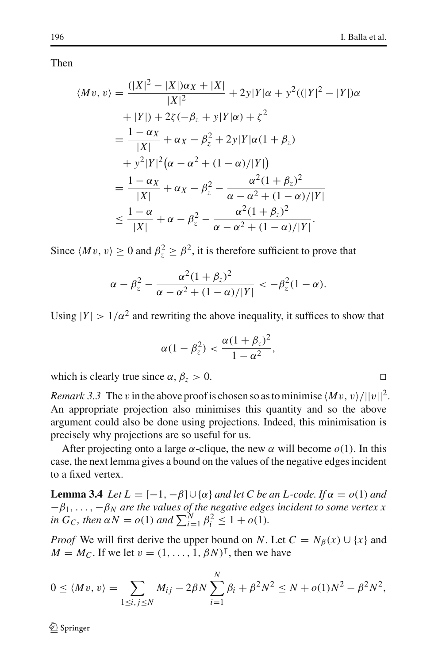Then

$$
\langle Mv, v \rangle = \frac{(|X|^2 - |X|)\alpha_X + |X|}{|X|^2} + 2y|Y|\alpha + y^2((|Y|^2 - |Y|)\alpha + |Y|) + 2\zeta(-\beta_z + y|Y|\alpha) + \zeta^2
$$
  
=  $\frac{1 - \alpha_X}{|X|} + \alpha_X - \beta_z^2 + 2y|Y|\alpha(1 + \beta_z)$   
+  $y^2|Y|^2(\alpha - \alpha^2 + (1 - \alpha)/|Y|)$   
=  $\frac{1 - \alpha_X}{|X|} + \alpha_X - \beta_z^2 - \frac{\alpha^2(1 + \beta_z)^2}{\alpha - \alpha^2 + (1 - \alpha)/|Y|}$   
 $\le \frac{1 - \alpha}{|X|} + \alpha - \beta_z^2 - \frac{\alpha^2(1 + \beta_z)^2}{\alpha - \alpha^2 + (1 - \alpha)/|Y|}.$ 

Since  $\langle Mv, v \rangle \ge 0$  and  $\beta_z^2 \ge \beta^2$ , it is therefore sufficient to prove that

$$
\alpha - \beta_z^2 - \frac{\alpha^2 (1 + \beta_z)^2}{\alpha - \alpha^2 + (1 - \alpha)/|Y|} < -\beta_z^2 (1 - \alpha).
$$

Using  $|Y| > 1/\alpha^2$  and rewriting the above inequality, it suffices to show that

$$
\alpha(1-\beta_z^2) < \frac{\alpha(1+\beta_z)^2}{1-\alpha^2},
$$

which is clearly true since  $\alpha$ ,  $\beta$ <sub>z</sub> > 0.

*Remark 3.3* The v in the above proof is chosen so as to minimise  $\langle Mv, v \rangle / ||v||^2$ . An appropriate projection also minimises this quantity and so the above argument could also be done using projections. Indeed, this minimisation is precisely why projections are so useful for us.

After projecting onto a large  $\alpha$ -clique, the new  $\alpha$  will become  $o(1)$ . In this case, the next lemma gives a bound on the values of the negative edges incident to a fixed vertex.

<span id="page-17-0"></span>**Lemma 3.4** *Let*  $L = [-1, -\beta] \cup {\alpha}$  *and let* C *be an L-code. If*  $\alpha = o(1)$  *and* −β1,..., −β*<sup>N</sup> are the values of the negative edges incident to some vertex x in*  $G_C$ , then  $\alpha N = o(1)$  and  $\sum_{i=1}^{N} \beta_i^2 \leq 1 + o(1)$ .

*Proof* We will first derive the upper bound on *N*. Let  $C = N_\beta(x) \cup \{x\}$  and  $M = M_C$ . If we let  $v = (1, \ldots, 1, \beta N)^{\mathsf{T}}$ , then we have

$$
0 \le \langle Mv, v \rangle = \sum_{1 \le i, j \le N} M_{ij} - 2\beta N \sum_{i=1}^N \beta_i + \beta^2 N^2 \le N + o(1)N^2 - \beta^2 N^2,
$$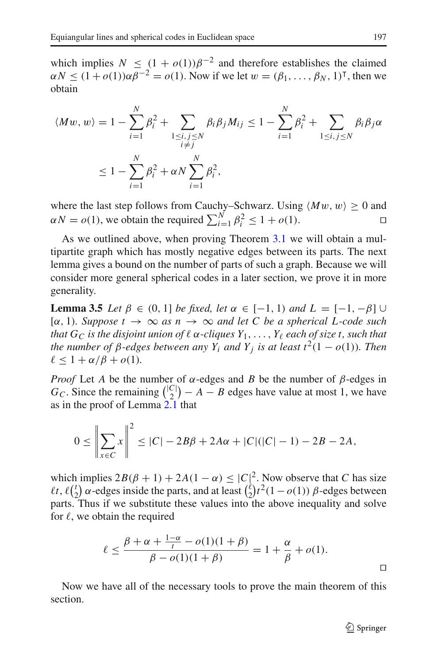which implies  $N \leq (1 + o(1))\beta^{-2}$  and therefore establishes the claimed  $\alpha N \le (1 + o(1)) \alpha \beta^{-2} = o(1)$ . Now if we let  $w = (\beta_1, ..., \beta_N, 1)^\intercal$ , then we obtain

$$
\langle Mw, w \rangle = 1 - \sum_{i=1}^{N} \beta_i^2 + \sum_{\substack{1 \le i, j \le N \\ i \ne j}} \beta_i \beta_j M_{ij} \le 1 - \sum_{i=1}^{N} \beta_i^2 + \sum_{1 \le i, j \le N} \beta_i \beta_j \alpha
$$
  

$$
\le 1 - \sum_{i=1}^{N} \beta_i^2 + \alpha N \sum_{i=1}^{N} \beta_i^2,
$$

where the last step follows from Cauchy–Schwarz. Using  $\langle Mw, w \rangle \ge 0$  and  $\alpha N = o(1)$ , we obtain the required  $\sum_{n=1}^{N} \beta_n^2 \le 1 + o(1)$ .  $\alpha N = o(1)$ , we obtain the required  $\sum_{i=1}^{N} \beta_i^2 \le 1 + o(1)$ .

As we outlined above, when proving Theorem [3.1](#page-16-0) we will obtain a multipartite graph which has mostly negative edges between its parts. The next lemma gives a bound on the number of parts of such a graph. Because we will consider more general spherical codes in a later section, we prove it in more generality.

<span id="page-18-0"></span>**Lemma 3.5** *Let*  $\beta \in (0, 1]$  *be fixed, let*  $\alpha \in [-1, 1)$  *and*  $L = [-1, -\beta]$  ∪  $[\alpha, 1)$ *. Suppose*  $t \to \infty$  *as*  $n \to \infty$  *and let C be a spherical L-code such that*  $G_C$  *is the disjoint union of*  $\ell$   $\alpha$ -cliques  $Y_1, \ldots, Y_\ell$  each of size t, such that *the number of*  $\beta$ -edges between any  $Y_i$  and  $Y_j$  is at least  $t^2(1 - o(1))$ . Then  $\ell < 1 + \alpha/\beta + o(1)$ .

*Proof* Let *A* be the number of  $\alpha$ -edges and *B* be the number of  $\beta$ -edges in  $G_C$ . Since the remaining  $\binom{|C|}{2} - A - B$  edges have value at most 1, we have as in the proof of Lemma [2.1](#page-5-0) that

$$
0 \le \left\| \sum_{x \in C} x \right\|^2 \le |C| - 2B\beta + 2A\alpha + |C|(|C| - 1) - 2B - 2A,
$$

which implies  $2B(\beta + 1) + 2A(1 - \alpha) \leq |C|\beta$ . Now observe that *C* has size  $\ell t, \ell \binom{t}{2}$  $\binom{t}{2}$   $\alpha$ -edges inside the parts, and at least  $\binom{\ell}{2}$  $\int_{2}^{\ell} t^2(1 - o(1)) \beta$ -edges between parts. Thus if we substitute these values into the above inequality and solve for  $\ell$ , we obtain the required

$$
\ell \le \frac{\beta + \alpha + \frac{1 - \alpha}{t} - o(1)(1 + \beta)}{\beta - o(1)(1 + \beta)} = 1 + \frac{\alpha}{\beta} + o(1).
$$

Now we have all of the necessary tools to prove the main theorem of this section.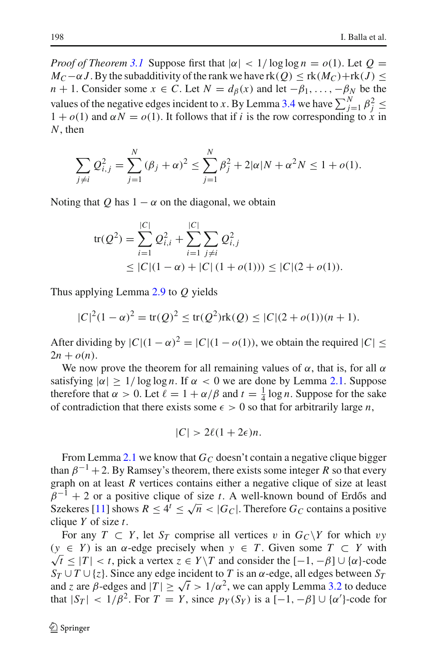*Proof of Theorem [3.1](#page-16-0)* Suppose first that  $|\alpha| < 1/\log \log n = o(1)$ . Let  $Q =$  $M_C$ −α*J*. By the subadditivity of the rank we have rk(*Q*) < rk( $M_C$ )+rk(*J*) < *n* + 1. Consider some  $x \in C$ . Let  $N = d_{\beta}(x)$  and let  $-\beta_1, \ldots, -\beta_N$  be the values of the negative edges incident to *x*. By Lemma [3.4](#page-17-0) we have  $\sum_{j=1}^{N} \beta_j^2 \le$  $1 + o(1)$  and  $\alpha N = o(1)$ . It follows that if *i* is the row corresponding to *x* in *N*, then

$$
\sum_{j \neq i} Q_{i,j}^2 = \sum_{j=1}^N (\beta_j + \alpha)^2 \leq \sum_{j=1}^N \beta_j^2 + 2|\alpha|N + \alpha^2 N \leq 1 + o(1).
$$

Noting that *Q* has  $1 - \alpha$  on the diagonal, we obtain

$$
\begin{aligned} \text{tr}(Q^2) &= \sum_{i=1}^{|C|} Q_{i,i}^2 + \sum_{i=1}^{|C|} \sum_{j \neq i} Q_{i,j}^2 \\ &\leq |C|(1-\alpha) + |C|(1+o(1))) \leq |C|(2+o(1)). \end{aligned}
$$

Thus applying Lemma [2.9](#page-9-1) to *Q* yields

$$
|C|^2(1-\alpha)^2 = \text{tr}(Q)^2 \le \text{tr}(Q^2)\text{rk}(Q) \le |C|(2+o(1))(n+1).
$$

After dividing by  $|C|(1-\alpha)^2 = |C|(1-o(1))$ , we obtain the required  $|C| \le$  $2n + o(n)$ .

We now prove the theorem for all remaining values of  $\alpha$ , that is, for all  $\alpha$ satisfying  $|\alpha| \geq 1/\log \log n$ . If  $\alpha < 0$  we are done by Lemma [2.1.](#page-5-0) Suppose therefore that  $\alpha > 0$ . Let  $\ell = 1 + \alpha/\beta$  and  $t = \frac{1}{4} \log n$ . Suppose for the sake of contradiction that there exists some  $\epsilon > 0$  so that for arbitrarily large *n*,

$$
|C| > 2\ell(1+2\epsilon)n.
$$

From Lemma [2.1](#page-5-0) we know that  $G_C$  doesn't contain a negative clique bigger than  $\beta^{-1}$  + 2. By Ramsey's theorem, there exists some integer *R* so that every graph on at least *R* vertices contains either a negative clique of size at least  $\beta^{-1}$  + 2 or a positive clique of size *t*. A well-known bound of Erdős and Szekeres [\[11](#page-33-17)] shows  $R \leq 4^t \leq \sqrt{n} < |G_C|$ . Therefore  $G_C$  contains a positive clique *Y* of size *t*.

For any  $T \subset Y$ , let  $S_T$  comprise all vertices v in  $G_C \backslash Y$  for which vy ( *y* ∈ *Y* ) is an α-edge precisely when *y* ∈ *T* . Given some *T* ⊂ *Y* with  $\sqrt{t} \le |T| < t$ , pick a vertex  $z \in Y \setminus T$  and consider the  $[-1, -\beta] \cup {\alpha}$ -code  $S_T \cup T \cup \{z\}$ . Since any edge incident to *T* is an  $\alpha$ -edge, all edges between  $S_T$ and *z* are *β*-edges and  $|T| > \sqrt{t} > 1/\alpha^2$ , we can apply Lemma [3.2](#page-16-1) to deduce that  $|S_T| < 1/\beta^2$ . For  $T = Y$ , since  $p_Y(S_Y)$  is a  $[-1, -\beta] \cup {\alpha'}$ -code for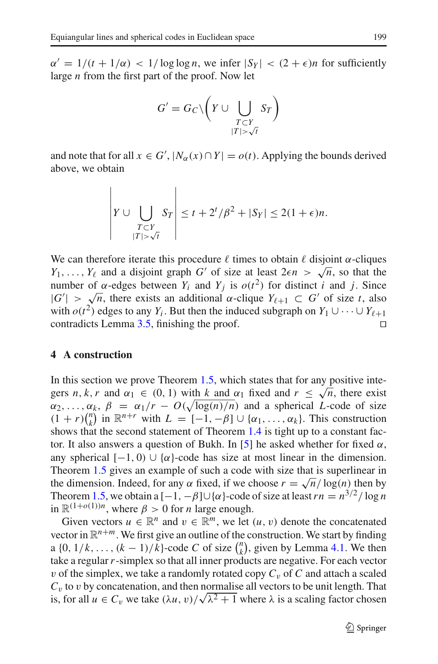$\alpha' = 1/(t + 1/\alpha) < 1/\log \log n$ , we infer  $|S_Y| < (2 + \epsilon)n$  for sufficiently large *n* from the first part of the proof. Now let

$$
G' = G_C \setminus \left(Y \cup \bigcup_{\substack{T \subset Y \\ |T| > \sqrt{t}}} S_T\right)
$$

and note that for all  $x \in G'$ ,  $|N_\alpha(x) \cap Y| = o(t)$ . Applying the bounds derived above, we obtain

$$
\left| Y \cup \bigcup_{\substack{T \subset Y \\ |T| > \sqrt{t}}} S_T \right| \leq t + 2^t/\beta^2 + |S_Y| \leq 2(1+\epsilon)n.
$$

We can therefore iterate this procedure  $\ell$  times to obtain  $\ell$  disjoint  $\alpha$ -cliques *Y*<sub>1</sub>,..., *Y*<sub>l</sub> and a disjoint graph *G'* of size at least  $2\epsilon n > \sqrt{n}$ , so that the number of α-edges between *Y<sub>i</sub>* and *Y<sub>j</sub>* is  $o(t^2)$  for distinct *i* and *j*. Since  $|G'| > \sqrt{n}$ , there exists an additional  $\alpha$ -clique  $Y_{\ell+1} \subset G'$  of size *t*, also with  $o(t^2)$  edges to any  $Y_i$ . But then the induced subgraph on  $Y_1 \cup \cdots \cup Y_{\ell+1}$ <br>contradicts Lemma 3.5 finishing the proof contradicts Lemma [3.5,](#page-18-0) finishing the proof.

#### <span id="page-20-0"></span>**4 A construction**

In this section we prove Theorem [1.5,](#page-3-1) which states that for any positive integers *n*, *k*, *r* and  $\alpha_1 \in (0, 1)$  with *k* and  $\alpha_1$  fixed and  $r \leq \sqrt{n}$ , there exist  $\alpha_2, \ldots, \alpha_k, \ \beta = \alpha_1/r - O(\sqrt{\log(n)/n})$  and a spherical *L*-code of size  $(1 + r)$  $\binom{n}{k}$  $\binom{n}{k}$  in  $\mathbb{R}^{n+r}$  with  $L = [-1, -\beta] \cup \{\alpha_1, \ldots, \alpha_k\}$ . This construction shows that the second statement of Theorem [1.4](#page-3-0) is tight up to a constant fac-tor. It also answers a question of Bukh. In [\[5](#page-33-12)] he asked whether for fixed  $\alpha$ , any spherical  $[-1, 0) \cup {\alpha}$ -code has size at most linear in the dimension. Theorem [1.5](#page-3-1) gives an example of such a code with size that is superlinear in the dimension. Indeed, for any  $\alpha$  fixed, if we choose  $r = \sqrt{n}/\log(n)$  then by Theorem [1.5,](#page-3-1) we obtain a  $[-1, -\beta] \cup {\alpha}$ -code of size at least  $rn = n^{3/2}/\log n$ in  $\mathbb{R}^{(1+o(1))n}$ , where  $\beta > 0$  for *n* large enough.

Given vectors  $u \in \mathbb{R}^n$  and  $v \in \mathbb{R}^m$ , we let  $(u, v)$  denote the concatenated vector in  $\mathbb{R}^{n+m}$ . We first give an outline of the construction. We start by finding a  $\{0, 1/k, ..., (k-1)/k\}$ -code *C* of size  $\binom{n}{k}$  $\binom{n}{k}$ , given by Lemma [4.1.](#page-21-0) We then take a regular*r*-simplex so that all inner products are negative. For each vector v of the simplex, we take a randomly rotated copy  $C_v$  of  $C$  and attach a scaled  $C<sub>v</sub>$  to *v* by concatenation, and then normalise all vectors to be unit length. That is, for all  $u \in C_v$  we take  $(\lambda u, v) / \sqrt{\lambda^2 + 1}$  where  $\lambda$  is a scaling factor chosen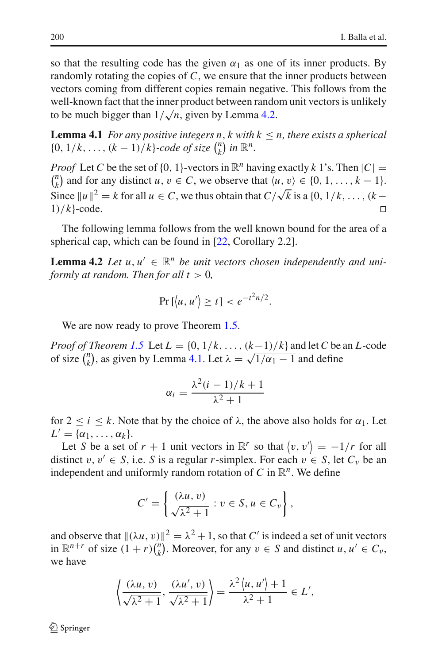so that the resulting code has the given  $\alpha_1$  as one of its inner products. By randomly rotating the copies of *C*, we ensure that the inner products between vectors coming from different copies remain negative. This follows from the well-known fact that the inner product between random unit vectors is unlikely to be much bigger than  $1/\sqrt{n}$ , given by Lemma [4.2.](#page-21-1)

<span id="page-21-0"></span>**Lemma 4.1** *For any positive integers n, k with*  $k \leq n$ *, there exists a spherical*  $\{0, 1/k, \ldots, (k-1)/k\}$ -code of size  $\binom{n}{k}$  $\binom{n}{k}$  in  $\mathbb{R}^n$ .

*Proof* Let *C* be the set of  $\{0, 1\}$ -vectors in  $\mathbb{R}^n$ <br> $\binom{n}{k}$  and for any distinct  $u, v \in C$ , we observ  $\binom{n}{k}$  and for any distinct *u*,  $v \in C$ , we observe that  $\langle u, v \rangle \in \{0, 1, \ldots, k - 1\}.$ *Proof* Let C be the set of {0, 1}-vectors in  $\mathbb{R}^n$  having exactly k 1's. Then  $|C|$  = Since  $||u||^2 = k$  for all  $u \in C$ , we thus obtain that  $C/\sqrt{k}$  is a {0, 1/k,...,(k- $1)/k}$ -code.

<span id="page-21-1"></span>The following lemma follows from the well known bound for the area of a spherical cap, which can be found in [\[22](#page-33-22), Corollary 2.2].

**Lemma 4.2** *Let*  $u, u' \in \mathbb{R}^n$  *be unit vectors chosen independently and uniformly at random. Then for all*  $t > 0$ *,* 

$$
\Pr\left[\left\langle u, u'\right\rangle \geq t\right] < e^{-t^2 n/2}.
$$

We are now ready to prove Theorem [1.5.](#page-3-1)

*Proof of Theorem [1.5](#page-3-1)* Let  $L = \{0, 1/k, \ldots, (k-1)/k\}$  and let *C* be an *L*-code of size  $\binom{n}{k}$ *k*), as given by Lemma [4.1.](#page-21-0) Let  $\lambda = \sqrt{1/\alpha_1 - 1}$  and define

$$
\alpha_i = \frac{\lambda^2(i-1)/k+1}{\lambda^2+1}
$$

for  $2 \le i \le k$ . Note that by the choice of  $\lambda$ , the above also holds for  $\alpha_1$ . Let  $L' = {\alpha_1, \ldots, \alpha_k}.$ 

Let *S* be a set of  $r + 1$  unit vectors in  $\mathbb{R}^r$  so that  $\langle v, v' \rangle = -1/r$  for all distinct  $v, v' \in S$ , i.e. *S* is a regular *r*-simplex. For each  $v \in S$ , let  $C_v$  be an independent and uniformly random rotation of  $C$  in  $\mathbb{R}^n$ . We define

$$
C' = \left\{ \frac{(\lambda u, v)}{\sqrt{\lambda^2 + 1}} : v \in S, u \in C_v \right\},\
$$

and observe that  $\|(\lambda u, v)\|^2 = \lambda^2 + 1$ , so that *C'* is indeed a set of unit vectors in  $\mathbb{R}^{n+r}$  of size  $(1+r)\binom{n}{k}$  $\binom{n}{k}$ . Moreover, for any  $v \in S$  and distinct  $u, u' \in C_v$ , we have

$$
\left\langle \frac{(\lambda u, v)}{\sqrt{\lambda^2 + 1}}, \frac{(\lambda u', v)}{\sqrt{\lambda^2 + 1}} \right\rangle = \frac{\lambda^2 \langle u, u' \rangle + 1}{\lambda^2 + 1} \in L',
$$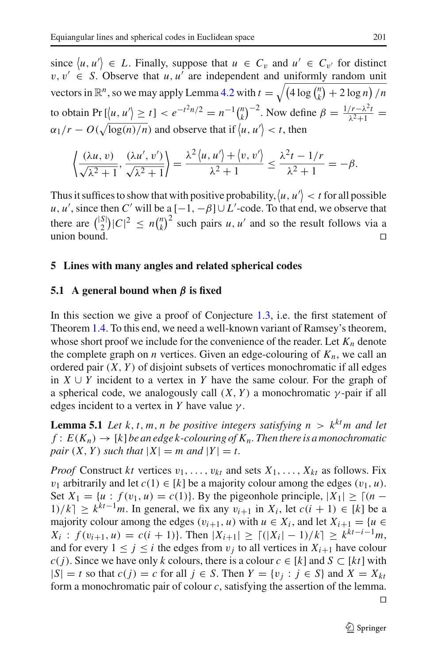since  $\langle u, u' \rangle \in L$ . Finally, suppose that  $u \in C_v$  and  $u' \in C_{v'}$  for distinct  $v, v' \in S$ . Observe that *u*, *u'* are independent and uniformly random unit vectors in  $\mathbb{R}^n$ , so we may apply Lemma [4.2](#page-21-1) with  $t = \sqrt{(4 \log \binom{n}{k})^2}$  $\binom{n}{k} + 2 \log n / n$ to obtain Pr  $[\langle u, u' \rangle \ge t] < e^{-t^2 n/2} = n^{-1} {n \choose k}$  $\binom{n}{k}^{-2}$ . Now define  $\beta = \frac{1/r - \lambda^2 t}{\lambda^2 + 1} =$  $\alpha_1/r - O(\sqrt{\log(n)/n})$  and observe that if  $\langle u, u' \rangle < r$ , then

$$
\left\langle \frac{(\lambda u, v)}{\sqrt{\lambda^2 + 1}}, \frac{(\lambda u', v')}{\sqrt{\lambda^2 + 1}} \right\rangle = \frac{\lambda^2 \langle u, u' \rangle + \langle v, v' \rangle}{\lambda^2 + 1} \le \frac{\lambda^2 t - 1/r}{\lambda^2 + 1} = -\beta.
$$

Thus it suffices to show that with positive probability,  $\langle u, u' \rangle < t$  for all possible *u*, *u'*, since then *C'* will be a  $[-1, -\beta] \cup L'$ -code. To that end, we observe that there are  $\binom{|S|}{2} |C|^2 \le n \binom{n}{k}$  $(k)$ <sup>2</sup> such pairs *u*, *u'* and so the result follows via a union bound.  $\square$ 

# <span id="page-22-0"></span>**5 Lines with many angles and related spherical codes**

# **5.1 A general bound when** *β* **is fixed**

In this section we give a proof of Conjecture [1.3,](#page-3-2) i.e. the first statement of Theorem [1.4.](#page-3-0) To this end, we need a well-known variant of Ramsey's theorem, whose short proof we include for the convenience of the reader. Let  $K_n$  denote the complete graph on *n* vertices. Given an edge-colouring of  $K_n$ , we call an ordered pair (*X*, *Y* ) of disjoint subsets of vertices monochromatic if all edges in *X* ∪ *Y* incident to a vertex in *Y* have the same colour. For the graph of a spherical code, we analogously call  $(X, Y)$  a monochromatic  $\gamma$ -pair if all edges incident to a vertex in *Y* have value  $\gamma$ .

<span id="page-22-1"></span>**Lemma 5.1** *Let*  $k, t, m, n$  *be positive integers satisfying*  $n > k^{kt}m$  *and let*  $f: E(K_n) \to [k]$  *be an edge k-colouring of*  $K_n$ . Then there is a monochromatic *pair*  $(X, Y)$  *such that*  $|X| = m$  *and*  $|Y| = t$ .

*Proof* Construct *kt* vertices  $v_1, \ldots, v_k$  and sets  $X_1, \ldots, X_k$  as follows. Fix *v*<sub>1</sub> arbitrarily and let  $c(1) \in [k]$  be a majority colour among the edges  $(v_1, u)$ . Set  $X_1 = \{u : f(v_1, u) = c(1)\}\$ . By the pigeonhole principle,  $|X_1| \geq |(n -$ 1)/ $k$ ] ≥  $k^{kt-1}$ *m*. In general, we fix any  $v_{i+1}$  in  $X_i$ , let  $c(i + 1) \in [k]$  be a majority colour among the edges  $(v_{i+1}, u)$  with  $u \in X_i$ , and let  $X_{i+1} = \{u \in X_i\}$  $X_i$  :  $f(v_{i+1}, u) = c(i+1)$ . Then  $|X_{i+1}| \ge \lfloor (|X_i| - 1)/k \rfloor \ge k^{kt-i-1}m$ , and for every  $1 \leq j \leq i$  the edges from  $v_j$  to all vertices in  $X_{i+1}$  have colour *c*(*j*). Since we have only *k* colours, there is a colour *c* ∈ [*k*] and *S* ⊂ [*kt*] with  $|S| = t$  so that  $c(j) = c$  for all  $j \in S$ . Then  $Y = \{v_j : j \in S\}$  and  $X = X_{kt}$ form a monochromatic pair of colour *c*, satisfying the assertion of the lemma.  $\Box$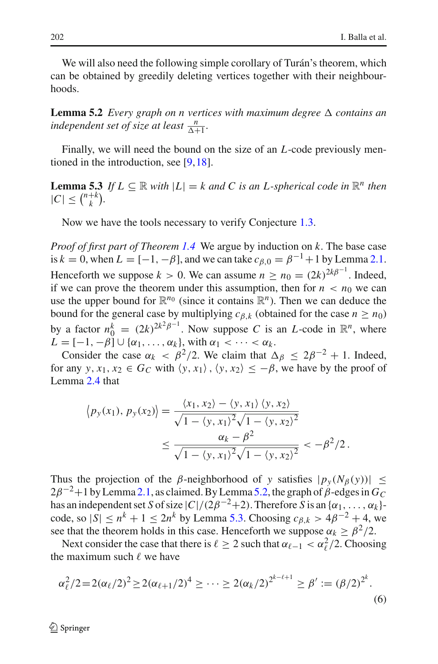<span id="page-23-0"></span>We will also need the following simple corollary of Turán's theorem, which can be obtained by greedily deleting vertices together with their neighbourhoods.

**Lemma 5.2** *Every graph on n vertices with maximum degree*  $\Delta$  *contains an independent set of size at least*  $\frac{n}{\Delta+1}$ *.* 

<span id="page-23-1"></span>Finally, we will need the bound on the size of an *L*-code previously mentioned in the introduction, see [\[9](#page-33-13),[18\]](#page-33-16).

**Lemma 5.3** *If*  $L \subseteq \mathbb{R}$  *with*  $|L| = k$  *and C is an L*-*spherical code in*  $\mathbb{R}^n$  *then*  $|C| \leq {n+k \choose k}.$ 

Now we have the tools necessary to verify Conjecture [1.3.](#page-3-2)

*Proof of first part of Theorem [1.4](#page-3-0)* We argue by induction on *k*. The base case is  $k = 0$ , when  $L = [-1, -\beta]$ , and we can take  $c_{\beta,0} = \beta^{-1} + 1$  by Lemma [2.1.](#page-5-0) Henceforth we suppose  $k > 0$ . We can assume  $n \ge n_0 = (2k)^{2k\beta^{-1}}$ . Indeed, if we can prove the theorem under this assumption, then for  $n < n_0$  we can use the upper bound for  $\mathbb{R}^{n_0}$  (since it contains  $\mathbb{R}^n$ ). Then we can deduce the bound for the general case by multiplying  $c_{\beta,k}$  (obtained for the case  $n \ge n_0$ ) by a factor  $n_0^k = (2k)^{2k^2\beta^{-1}}$ . Now suppose *C* is an *L*-code in  $\mathbb{R}^n$ , where  $L = [-1, -\beta] \cup \{\alpha_1, \ldots, \alpha_k\}$ , with  $\alpha_1 < \cdots < \alpha_k$ .

Consider the case  $\alpha_k < \beta^2/2$ . We claim that  $\Delta_{\beta} \leq 2\beta^{-2} + 1$ . Indeed, for any *y*,  $x_1, x_2 \in G_C$  with  $\langle y, x_1 \rangle$ ,  $\langle y, x_2 \rangle \leq -\beta$ , we have by the proof of Lemma [2.4](#page-7-1) that

$$
\langle p_y(x_1), p_y(x_2) \rangle = \frac{\langle x_1, x_2 \rangle - \langle y, x_1 \rangle \langle y, x_2 \rangle}{\sqrt{1 - \langle y, x_1 \rangle^2} \sqrt{1 - \langle y, x_2 \rangle^2}} \le \frac{\alpha_k - \beta^2}{\sqrt{1 - \langle y, x_1 \rangle^2} \sqrt{1 - \langle y, x_2 \rangle^2}} < -\beta^2/2.
$$

Thus the projection of the *β*-neighborhood of *y* satisfies  $|p_y(N_\beta(y))| \le$  $2\beta^{-2}+1$  by Lemma [2.1,](#page-5-0) as claimed. By Lemma [5.2,](#page-23-0) the graph of  $\beta$ -edges in  $G_C$ has an independent set *S* of size  $|C|/(2\beta^{-2}+2)$ . Therefore *S* is an  $\{\alpha_1, \ldots, \alpha_k\}$ code, so  $|\mathcal{S}| \le n^k + 1 \le 2n^k$  by Lemma [5.3.](#page-23-1) Choosing  $c_{\mathcal{B},k} > 4\beta^{-2} + 4$ , we see that the theorem holds in this case. Henceforth we suppose  $\alpha_k \geq \beta^2/2$ .

Next consider the case that there is  $\ell \geq 2$  such that  $\alpha_{\ell-1} < \alpha_{\ell}^2/2$ . Choosing the maximum such  $\ell$  we have

<span id="page-23-2"></span>
$$
\alpha_{\ell}^2/2 = 2(\alpha_{\ell}/2)^2 \ge 2(\alpha_{\ell+1}/2)^4 \ge \cdots \ge 2(\alpha_k/2)^{2^{k-\ell+1}} \ge \beta' := (\beta/2)^{2^k}.
$$
\n(6)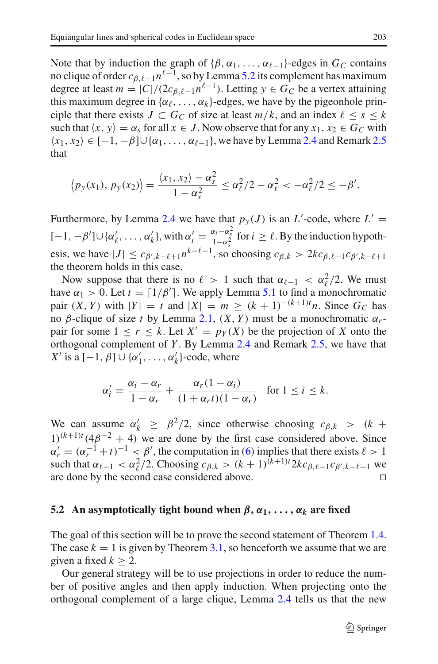Note that by induction the graph of  $\{\beta, \alpha_1, \dots, \alpha_{\ell-1}\}$ -edges in  $G_C$  contains no clique of order  $c_{\beta, \ell-1}n^{\ell-1}$ , so by Lemma [5.2](#page-23-0) its complement has maximum degree at least  $m = |C|/(2c_{\beta,\ell-1}n^{\ell-1})$ . Letting  $y \in G_C$  be a vertex attaining this maximum degree in  $\{\alpha_\ell, \ldots, \alpha_k\}$ -edges, we have by the pigeonhole principle that there exists  $J \subset G_C$  of size at least  $m/k$ , and an index  $\ell \leq s \leq k$ such that  $\langle x, y \rangle = \alpha_s$  for all  $x \in J$ . Now observe that for any  $x_1, x_2 \in G_C$  with  $\langle x_1, x_2 \rangle \in [-1, -\beta] \cup \{ \alpha_1, \ldots, \alpha_{\ell-1} \}$ , we have by Lemma [2.4](#page-7-1) and Remark [2.5](#page-7-2) that

$$
\langle p_y(x_1),\,p_y(x_2)\rangle=\frac{\langle x_1,\,x_2\rangle-\alpha_s^2}{1-\alpha_s^2}\leq \alpha_\ell^2/2-\alpha_\ell^2<-\alpha_\ell^2/2\leq -\beta'.
$$

Furthermore, by Lemma [2.4](#page-7-1) we have that  $p_y(J)$  is an *L*'-code, where  $L' =$  $[-1, -β'] \cup {α'_\ell, ..., α'_k}$ , with  $α'_i = \frac{α_i - α_s^2}{1 - α_s^2}$  for  $i ≥ \ell$ . By the induction hypothesis, we have  $|J| \leq c_{\beta',k-\ell+1} n^{k-\ell+1}$ , so choosing  $c_{\beta,k} > 2k c_{\beta,\ell-1} c_{\beta',k-\ell+1}$ the theorem holds in this case.

Now suppose that there is no  $\ell > 1$  such that  $\alpha_{\ell-1} < \alpha_{\ell}^2/2$ . We must have  $\alpha_1 > 0$ . Let  $t = \lceil 1/\beta' \rceil$ . We apply Lemma [5.1](#page-22-1) to find a monochromatic  $\text{pair } (X, Y) \text{ with } |Y| = t \text{ and } |X| = m \ge (k + 1)^{-(k+1)t} n. \text{ Since } G_C \text{ has }$ no β-clique of size *t* by Lemma [2.1,](#page-5-0) (*X*, *Y* ) must be a monochromatic α*r*pair for some  $1 \le r \le k$ . Let  $X' = p_Y(X)$  be the projection of X onto the orthogonal complement of *Y* . By Lemma [2.4](#page-7-1) and Remark [2.5,](#page-7-2) we have that *X'* is a  $[-1, \beta] \cup {\alpha'_1, \ldots, \alpha'_k}$ -code, where

$$
\alpha_i' = \frac{\alpha_i - \alpha_r}{1 - \alpha_r} + \frac{\alpha_r (1 - \alpha_i)}{(1 + \alpha_r t)(1 - \alpha_r)} \quad \text{for } 1 \le i \le k.
$$

We can assume  $\alpha'_k \geq \beta^2/2$ , since otherwise choosing  $c_{\beta,k} > (k + \beta^2)/2$  $1)^{(k+1)t} (4\beta^{-2} + 4)$  we are done by the first case considered above. Since  $\alpha'_r = (\alpha_r^{-1} + t)^{-1} < \beta'$ , the computation in [\(6\)](#page-23-2) implies that there exists  $\ell > 1$ such that  $\alpha_{\ell-1} < \alpha_{\ell}^2/2$ . Choosing  $c_{\beta,k} > (k+1)^{(k+1)t} 2kc_{\beta,\ell-1}c_{\beta',k-\ell+1}$  we are done by the second case considered above.

## **5.2** An asymptotically tight bound when  $\beta$ ,  $\alpha_1$ , ...,  $\alpha_k$  are fixed

The goal of this section will be to prove the second statement of Theorem [1.4.](#page-3-0) The case  $k = 1$  is given by Theorem [3.1,](#page-16-0) so henceforth we assume that we are given a fixed  $k \geq 2$ .

Our general strategy will be to use projections in order to reduce the number of positive angles and then apply induction. When projecting onto the orthogonal complement of a large clique, Lemma [2.4](#page-7-1) tells us that the new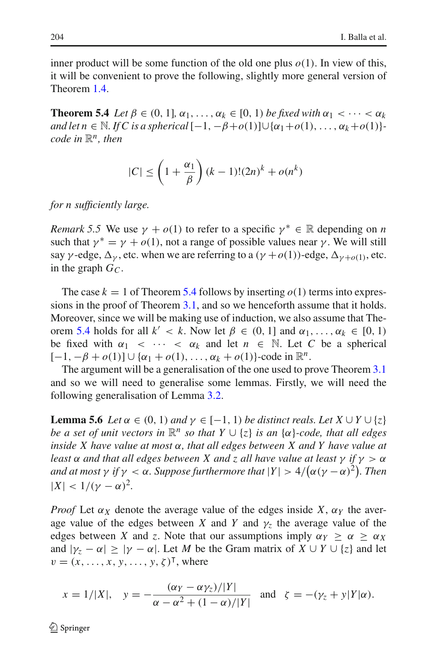<span id="page-25-0"></span>inner product will be some function of the old one plus  $o(1)$ . In view of this, it will be convenient to prove the following, slightly more general version of Theorem [1.4.](#page-3-0)

**Theorem 5.4** *Let*  $\beta \in (0, 1]$ *,*  $\alpha_1, \ldots, \alpha_k \in [0, 1)$  *be fixed with*  $\alpha_1 < \cdots < \alpha_k$ *and let n* ∈ N. *If* C *is a spherical*  $[-1, -β+o(1)] \cup {α<sub>1</sub>+o(1), ..., α<sub>k</sub>+o(1)}$ *code in*  $\mathbb{R}^n$ *, then* 

$$
|C| \le \left(1 + \frac{\alpha_1}{\beta}\right)(k-1)!(2n)^k + o(n^k)
$$

*for n sufficiently large.*

*Remark 5.5* We use  $\gamma + o(1)$  to refer to a specific  $\gamma^* \in \mathbb{R}$  depending on *n* such that  $\gamma^* = \gamma + o(1)$ , not a range of possible values near  $\gamma$ . We will still say  $\gamma$ -edge,  $\Delta_{\gamma}$ , etc. when we are referring to a  $(\gamma + o(1))$ -edge,  $\Delta_{\gamma+o(1)}$ , etc. in the graph  $G_C$ .

The case  $k = 1$  of Theorem [5.4](#page-25-0) follows by inserting  $o(1)$  terms into expressions in the proof of Theorem [3.1,](#page-16-0) and so we henceforth assume that it holds. Moreover, since we will be making use of induction, we also assume that The-orem [5.4](#page-25-0) holds for all  $k' < k$ . Now let  $\beta \in (0, 1]$  and  $\alpha_1, \ldots, \alpha_k \in [0, 1]$ be fixed with  $\alpha_1 < \cdots < \alpha_k$  and let  $n \in \mathbb{N}$ . Let C be a spherical  $[-1, -β + o(1)] ∪ {α<sub>1</sub> + o(1), ..., α<sub>k</sub> + o(1)}$ -code in  $\mathbb{R}^n$ .

The argument will be a generalisation of the one used to prove Theorem [3.1](#page-16-0) and so we will need to generalise some lemmas. Firstly, we will need the following generalisation of Lemma [3.2.](#page-16-1)

<span id="page-25-1"></span>**Lemma 5.6** *Let*  $\alpha \in (0, 1)$  *and*  $\gamma \in [-1, 1)$  *be distinct reals. Let*  $X \cup Y \cup \{z\}$ *be a set of unit vectors in*  $\mathbb{R}^n$  *so that*  $Y \cup \{z\}$  *is an*  $\{\alpha\}$ *-code, that all edges inside X have value at most* α*, that all edges between X and Y have value at least*  $\alpha$  *and that all edges between* X *and* z *all have value at least*  $\gamma$  *if*  $\gamma > \alpha$ *and at most*  $\gamma$  *if*  $\gamma < \alpha$ *. Suppose furthermore that*  $|Y| > 4/(\alpha(\gamma - \alpha)^2)$ *. Then*  $|X| < 1/(\gamma - \alpha)^2$ .

*Proof* Let  $\alpha_X$  denote the average value of the edges inside *X*,  $\alpha_Y$  the average value of the edges between *X* and *Y* and  $\gamma$ <sub>z</sub> the average value of the edges between *X* and *z*. Note that our assumptions imply  $\alpha_Y \geq \alpha \geq \alpha_X$ and  $|\gamma_z - \alpha| \ge |\gamma - \alpha|$ . Let *M* be the Gram matrix of  $X \cup Y \cup \{z\}$  and let  $v = (x, \ldots, x, y, \ldots, y, \zeta)^\mathsf{T}$ , where

$$
x = 1/|X|
$$
,  $y = -\frac{(\alpha_Y - \alpha \gamma_Z)/|Y|}{\alpha - \alpha^2 + (1 - \alpha)/|Y|}$  and  $\zeta = -(\gamma_Z + y|Y|\alpha)$ .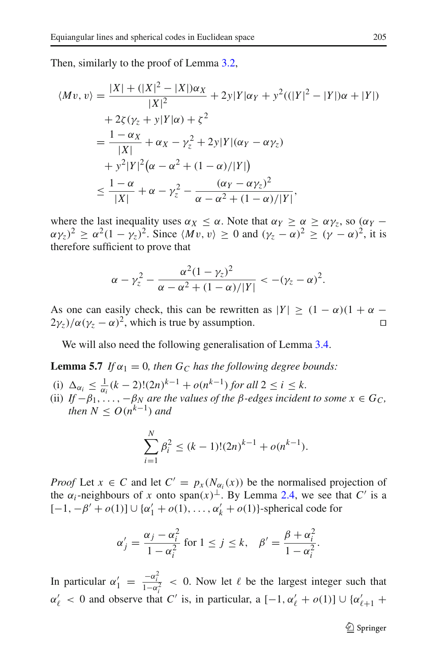Then, similarly to the proof of Lemma [3.2,](#page-16-1)

$$
\langle Mv, v \rangle = \frac{|X| + (|X|^2 - |X|)\alpha_X}{|X|^2} + 2y|Y|\alpha_Y + y^2((|Y|^2 - |Y|)\alpha + |Y|)
$$
  
+ 2\zeta(\gamma\_z + y|Y|\alpha) + \zeta^2  
=  $\frac{1 - \alpha_X}{|X|} + \alpha_X - \gamma_z^2 + 2y|Y|(\alpha_Y - \alpha \gamma_z)$   
+  $y^2|Y|^2(\alpha - \alpha^2 + (1 - \alpha)/|Y|)$   
 $\le \frac{1 - \alpha}{|X|} + \alpha - \gamma_z^2 - \frac{(\alpha_Y - \alpha \gamma_z)^2}{\alpha - \alpha^2 + (1 - \alpha)/|Y|},$ 

where the last inequality uses  $\alpha_X \leq \alpha$ . Note that  $\alpha_Y \geq \alpha \geq \alpha_{Y_Z}$ , so  $(\alpha_Y (\alpha \gamma_z)^2 \geq \alpha^2 (1 - \gamma_z)^2$ . Since  $\langle Mv, v \rangle \geq 0$  and  $(\gamma_z - \alpha)^2 \geq (\gamma - \alpha)^2$ , it is therefore sufficient to prove that

$$
\alpha - \gamma_z^2 - \frac{\alpha^2 (1 - \gamma_z)^2}{\alpha - \alpha^2 + (1 - \alpha) / |Y|} < -(\gamma_z - \alpha)^2.
$$

As one can easily check, this can be rewritten as  $|Y| \ge (1 - \alpha)(1 + \alpha - 2\nu) / \alpha(\nu - \alpha)^2$ , which is true by assumption.  $2\gamma_z/\alpha(\gamma_z-\alpha)^2$ , which is true by assumption.

<span id="page-26-0"></span>We will also need the following generalisation of Lemma [3.4.](#page-17-0)

**Lemma 5.7** *If*  $\alpha_1 = 0$ *, then*  $G_C$  *has the following degree bounds:* 

- (i)  $\Delta_{\alpha_i} \leq \frac{1}{\alpha_i} (k-2)! (2n)^{k-1} + o(n^{k-1})$  for all  $2 \leq i \leq k$ .
- (ii) *If*  $-\beta_1, \ldots, -\beta_N$  *are the values of the*  $\beta$ *-edges incident to some*  $x \in G_C$ , *then*  $N \leq O(n^{k-1})$  *and*

$$
\sum_{i=1}^{N} \beta_i^2 \le (k-1)!(2n)^{k-1} + o(n^{k-1}).
$$

*Proof* Let  $x \in C$  and let  $C' = p_x(N_{\alpha_i}(x))$  be the normalised projection of the  $\alpha_i$ -neighbours of *x* onto span $(x)$ <sup>⊥</sup>. By Lemma [2.4,](#page-7-1) we see that *C'* is a  $[-1, -β' + o(1)] ∪ {α'<sub>1</sub> + o(1), ..., α'<sub>k</sub> + o(1)}$ -spherical code for

$$
\alpha'_{j} = \frac{\alpha_{j} - \alpha_{i}^{2}}{1 - \alpha_{i}^{2}}
$$
 for  $1 \leq j \leq k$ ,  $\beta' = \frac{\beta + \alpha_{i}^{2}}{1 - \alpha_{i}^{2}}$ .

In particular  $\alpha'_1 = \frac{-\alpha_i^2}{1-\alpha_i^2} < 0$ . Now let  $\ell$  be the largest integer such that  $\alpha'_{\ell}$  < 0 and observe that *C'* is, in particular, a [-1,  $\alpha'_{\ell}$  +  $o(1)$ ] ∪ { $\alpha'_{\ell+1}$  +

 $\circled{2}$  Springer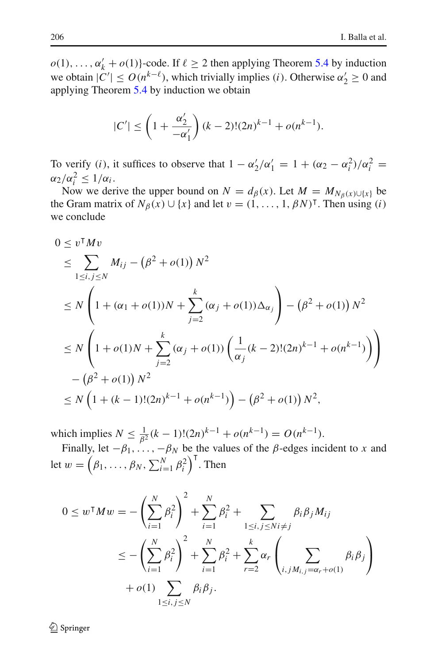$o(1), \ldots, \alpha'_{k} + o(1)$ }-code. If  $\ell \geq 2$  then applying Theorem [5.4](#page-25-0) by induction we obtain  $|C'| \leq O(n^{k-\ell})$ , which trivially implies (*i*). Otherwise  $\alpha_2' \geq 0$  and applying Theorem [5.4](#page-25-0) by induction we obtain

$$
|C'| \le \left(1 + \frac{\alpha_2'}{-\alpha_1'}\right)(k-2)!(2n)^{k-1} + o(n^{k-1}).
$$

To verify (*i*), it suffices to observe that  $1 - \alpha'_2/\alpha'_1 = 1 + (\alpha_2 - \alpha_i^2)/\alpha_i^2 =$  $\alpha_2/\alpha_i^2 \leq 1/\alpha_i$ .

Now we derive the upper bound on  $N = d_{\beta}(x)$ . Let  $M = M_{N_{\beta}(x) \cup \{x\}}$  be the Gram matrix of  $N_\beta(x) \cup \{x\}$  and let  $v = (1, \ldots, 1, \beta N)^\intercal$ . Then using (*i*) we conclude

$$
0 \le v^{\mathsf{T}} M v
$$
  
\n
$$
\le \sum_{1 \le i, j \le N} M_{ij} - (\beta^2 + o(1)) N^2
$$
  
\n
$$
\le N \left( 1 + (\alpha_1 + o(1)) N + \sum_{j=2}^k (\alpha_j + o(1)) \Delta_{\alpha_j} \right) - (\beta^2 + o(1)) N^2
$$
  
\n
$$
\le N \left( 1 + o(1) N + \sum_{j=2}^k (\alpha_j + o(1)) \left( \frac{1}{\alpha_j} (k-2)! (2n)^{k-1} + o(n^{k-1}) \right) \right)
$$
  
\n
$$
- (\beta^2 + o(1)) N^2
$$
  
\n
$$
\le N \left( 1 + (k-1)! (2n)^{k-1} + o(n^{k-1}) \right) - (\beta^2 + o(1)) N^2,
$$

which implies  $N \le \frac{1}{\beta^2} (k-1)! (2n)^{k-1} + o(n^{k-1}) = O(n^{k-1}).$ 

Finally, let  $-\beta_1$ ,  $\ldots$ ,  $-\beta_N$  be the values of the  $\beta$ -edges incident to *x* and let  $w = (\beta_1, ..., \beta_N, \sum_{i=1}^N \beta_i^2)^T$ . Then

$$
0 \leq w^{\mathsf{T}} M w = -\left(\sum_{i=1}^{N} \beta_i^2\right)^2 + \sum_{i=1}^{N} \beta_i^2 + \sum_{1 \leq i, j \leq N i \neq j} \beta_i \beta_j M_{ij}
$$
  

$$
\leq -\left(\sum_{i=1}^{N} \beta_i^2\right)^2 + \sum_{i=1}^{N} \beta_i^2 + \sum_{r=2}^{k} \alpha_r \left(\sum_{i, j M_{i,j} = \alpha_r + o(1)} \beta_i \beta_j\right)
$$
  
+  $o(1) \sum_{1 \leq i, j \leq N} \beta_i \beta_j.$ 

 $\mathcal{L}$  Springer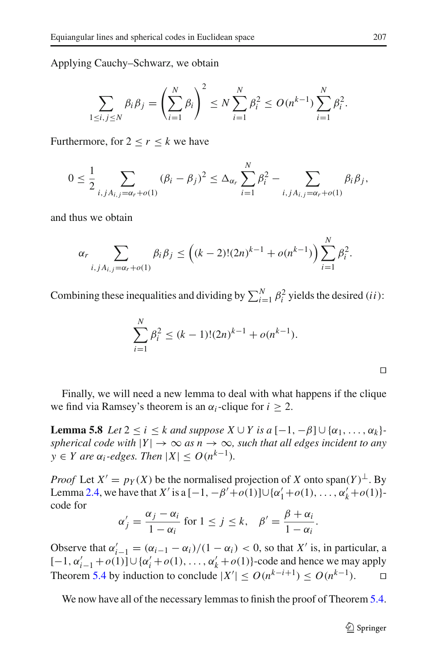Applying Cauchy–Schwarz, we obtain

$$
\sum_{1 \le i, j \le N} \beta_i \beta_j = \left(\sum_{i=1}^N \beta_i\right)^2 \le N \sum_{i=1}^N \beta_i^2 \le O(n^{k-1}) \sum_{i=1}^N \beta_i^2.
$$

Furthermore, for  $2 \le r \le k$  we have

$$
0 \leq \frac{1}{2} \sum_{i,j, A_{i,j} = \alpha_r + o(1)} (\beta_i - \beta_j)^2 \leq \Delta_{\alpha_r} \sum_{i=1}^N \beta_i^2 - \sum_{i,j, A_{i,j} = \alpha_r + o(1)} \beta_i \beta_j,
$$

and thus we obtain

$$
\alpha_r \sum_{i,jA_{i,j}=\alpha_r+o(1)} \beta_i \beta_j \le \left( (k-2)!(2n)^{k-1} + o(n^{k-1}) \right) \sum_{i=1}^N \beta_i^2.
$$

Combining these inequalities and dividing by  $\sum_{i=1}^{N} \beta_i^2$  yields the desired (*ii*):

$$
\sum_{i=1}^{N} \beta_i^2 \le (k-1)!(2n)^{k-1} + o(n^{k-1}).
$$

<span id="page-28-0"></span>Finally, we will need a new lemma to deal with what happens if the clique we find via Ramsey's theorem is an  $\alpha_i$ -clique for  $i \geq 2$ .

**Lemma 5.8** *Let*  $2 \le i \le k$  *and suppose*  $X \cup Y$  *is a*  $[-1, -\beta] \cup {\alpha_1, \ldots, \alpha_k}$ *spherical code with*  $|Y| \to \infty$  *as n*  $\to \infty$ *, such that all edges incident to any y* ∈ *Y* are  $α<sub>i</sub>$ -edges. Then  $|X|$  ≤  $O(n^{k-1})$ .

*Proof* Let  $X' = p_Y(X)$  be the normalised projection of X onto span( $Y$ )<sup>⊥</sup>. By Lemma [2.4,](#page-7-1) we have that *X'* is a  $[-1, -\beta' + o(1)] \cup {\{\alpha'_1 + o(1), \dots, \alpha'_k + o(1)\}}$ code for

$$
\alpha'_j = \frac{\alpha_j - \alpha_i}{1 - \alpha_i} \text{ for } 1 \le j \le k, \quad \beta' = \frac{\beta + \alpha_i}{1 - \alpha_i}.
$$

Observe that  $\alpha'_{i-1} = (\alpha_{i-1} - \alpha_i)/(1 - \alpha_i) < 0$ , so that *X'* is, in particular, a [−1, α *<sup>i</sup>*−<sup>1</sup> <sup>+</sup>*o*(1)]∪{α *<sup>i</sup>* +*o*(1), . . . , α *<sup>k</sup>* +*o*(1)}-code and hence we may apply Theorem [5.4](#page-25-0) by induction to conclude  $|X'| \le O(n^{k-i+1}) \le O(n^{k-1})$ .  $\Box$ 

We now have all of the necessary lemmas to finish the proof of Theorem [5.4.](#page-25-0)

 $\Box$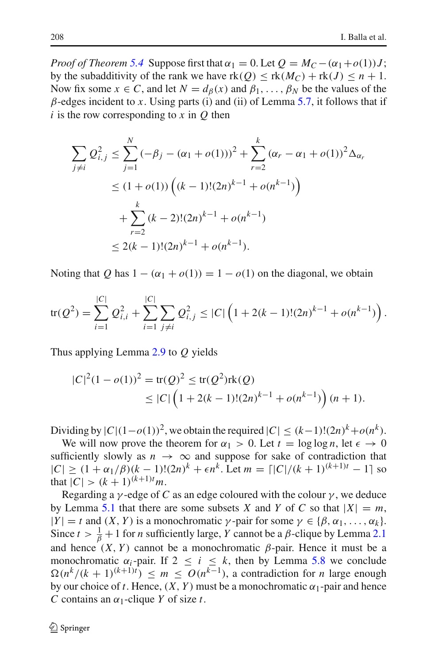*Proof of Theorem* [5.4](#page-25-0) Suppose first that  $\alpha_1 = 0$ . Let  $Q = M_C - (\alpha_1 + o(1))J$ ; by the subadditivity of the rank we have  $rk(Q) \leq rk(M_C) + rk(J) \leq n+1$ . Now fix some  $x \in C$ , and let  $N = d_{\beta}(x)$  and  $\beta_1, \ldots, \beta_N$  be the values of the  $\beta$ -edges incident to *x*. Using parts (i) and (ii) of Lemma [5.7,](#page-26-0) it follows that if  $i$  is the row corresponding to  $x$  in  $Q$  then

$$
\sum_{j \neq i} Q_{i,j}^2 \leq \sum_{j=1}^N (-\beta_j - (\alpha_1 + o(1)))^2 + \sum_{r=2}^k (\alpha_r - \alpha_1 + o(1))^2 \Delta_{\alpha_r}
$$
  

$$
\leq (1 + o(1)) \left( (k-1)!(2n)^{k-1} + o(n^{k-1}) \right)
$$
  

$$
+ \sum_{r=2}^k (k-2)!(2n)^{k-1} + o(n^{k-1})
$$
  

$$
\leq 2(k-1)!(2n)^{k-1} + o(n^{k-1}).
$$

Noting that *Q* has  $1 - (\alpha_1 + o(1)) = 1 - o(1)$  on the diagonal, we obtain

$$
\text{tr}(Q^2) = \sum_{i=1}^{|C|} Q_{i,i}^2 + \sum_{i=1}^{|C|} \sum_{j \neq i} Q_{i,j}^2 \leq |C| \left( 1 + 2(k-1)!(2n)^{k-1} + o(n^{k-1}) \right).
$$

Thus applying Lemma [2.9](#page-9-1) to *Q* yields

$$
|C|^2 (1 - o(1))^2 = \text{tr}(Q)^2 \le \text{tr}(Q^2) \text{rk}(Q)
$$
  
 
$$
\le |C| \left(1 + 2(k-1)!(2n)^{k-1} + o(n^{k-1})\right) (n+1).
$$

Dividing by  $|C|(1-o(1))^2$ , we obtain the required  $|C| \le (k-1)!(2n)^k + o(n^k)$ .

We will now prove the theorem for  $\alpha_1 > 0$ . Let  $t = \log \log n$ , let  $\epsilon \to 0$ sufficiently slowly as  $n \to \infty$  and suppose for sake of contradiction that  $|C| > (1 + \alpha_1/\beta)(k - 1)!(2n)^k + \epsilon n^k$ . Let  $m = \lfloor |C|/(k + 1)^{(k+1)t} - 1 \rfloor$  so that  $|C| > (k+1)^{(k+1)t}m$ .

Regarding a  $\gamma$ -edge of *C* as an edge coloured with the colour  $\gamma$ , we deduce by Lemma [5.1](#page-22-1) that there are some subsets *X* and *Y* of *C* so that  $|X| = m$ ,  $|Y| = t$  and  $(X, Y)$  is a monochromatic  $\gamma$ -pair for some  $\gamma \in \{\beta, \alpha_1, \dots, \alpha_k\}.$ Since  $t > \frac{1}{\beta} + 1$  for *n* sufficiently large, *Y* cannot be a  $\beta$ -clique by Lemma [2.1](#page-5-0) and hence  $(X, Y)$  cannot be a monochromatic  $\beta$ -pair. Hence it must be a monochromatic  $\alpha_i$ -pair. If  $2 \le i \le k$ , then by Lemma [5.8](#page-28-0) we conclude  $\Omega(n^k/(k+1)^{(k+1)t}) \leq m \leq O(n^{k-1})$ , a contradiction for *n* large enough by our choice of *t*. Hence,  $(X, Y)$  must be a monochromatic  $\alpha_1$ -pair and hence *C* contains an  $\alpha_1$ -clique *Y* of size *t*.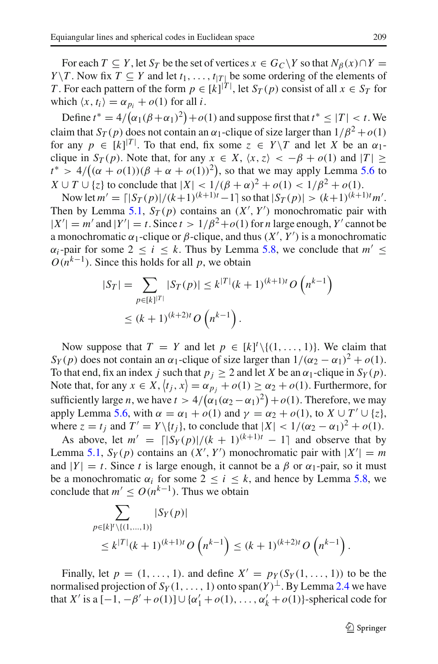For each  $T \subseteq Y$ , let  $S_T$  be the set of vertices  $x \in G_C \backslash Y$  so that  $N_\beta(x) \cap Y = Y$ *Y* \*T*. Now fix *T*  $\subseteq$  *Y* and let *t*<sub>1</sub>, ..., *t*<sub>|*T*|</sub> be some ordering of the elements of *T*. For each pattern of the form  $p \in [k]^{|T|}$ , let  $S_T(p)$  consist of all  $x \in S_T$  for which  $\langle x, t_i \rangle = \alpha_{p_i} + o(1)$  for all *i*.

Define  $t^* = 4/(\alpha_1(\beta + \alpha_1)^2) + o(1)$  and suppose first that  $t^* \leq |T| < t$ . We claim that  $S_T(p)$  does not contain an  $\alpha_1$ -clique of size larger than  $1/\beta^2 + o(1)$ for any  $p \in [k]^{|T|}$ . To that end, fix some  $z \in Y \setminus T$  and let *X* be an  $\alpha_1$ clique in  $S_T(p)$ . Note that, for any  $x \in X$ ,  $\langle x, z \rangle < -\beta + o(1)$  and  $|T| \ge$  $t^* > 4/((\alpha + o(1))(\beta + \alpha + o(1))^2)$ , so that we may apply Lemma [5.6](#page-25-1) to  $X \cup T \cup \{z\}$  to conclude that  $|X| < 1/(\beta + \alpha)^2 + o(1) < 1/\beta^2 + o(1)$ .

Now let  $m' = \lfloor |S_T(p)|/(k+1)^{(k+1)t} - 1 \rfloor$  so that  $|S_T(p)| > (k+1)^{(k+1)t} m'.$ Then by Lemma [5.1,](#page-22-1)  $S_T(p)$  contains an  $(X', Y')$  monochromatic pair with  $|X'| = m'$  and  $|Y'| = t$ . Since  $t > 1/\beta^2 + o(1)$  for *n* large enough, *Y'* cannot be a monochromatic  $\alpha_1$ -clique or  $\beta$ -clique, and thus  $(X', Y')$  is a monochromatic  $\alpha_i$ -pair for some  $2 \le i \le k$ . Thus by Lemma [5.8,](#page-28-0) we conclude that  $m' \le$  $O(n^{k-1})$ . Since this holds for all *p*, we obtain

$$
|S_T| = \sum_{p \in [k]^{|T|}} |S_T(p)| \le k^{|T|} (k+1)^{(k+1)t} O\left(n^{k-1}\right)
$$
  

$$
\le (k+1)^{(k+2)t} O\left(n^{k-1}\right).
$$

Now suppose that  $T = Y$  and let  $p \in [k]^t \setminus \{(1, \ldots, 1)\}$ . We claim that *Sy*(*p*) does not contain an  $\alpha_1$ -clique of size larger than  $1/(\alpha_2 - \alpha_1)^2 + o(1)$ . To that end, fix an index *j* such that  $p_i \geq 2$  and let *X* be an  $\alpha_1$ -clique in  $S_Y(p)$ . Note that, for any  $x \in X$ ,  $\langle t_j, x \rangle = \alpha_{p_j} + o(1) \ge \alpha_2 + o(1)$ . Furthermore, for sufficiently large *n*, we have  $t > 4/(\alpha_1(\alpha_2 - \alpha_1)^2) + o(1)$ . Therefore, we may apply Lemma [5.6,](#page-25-1) with  $\alpha = \alpha_1 + o(1)$  and  $\gamma = \alpha_2 + o(1)$ , to  $X \cup T' \cup \{z\}$ , where  $z = t_i$  and  $T' = Y \setminus \{t_i\}$ , to conclude that  $|X| < 1/(\alpha_2 - \alpha_1)^2 + o(1)$ .

As above, let  $m' = \frac{\lfloor |S_Y(p)|}{(k+1)^{(k+1)t}} - 1$  and observe that by Lemma [5.1,](#page-22-1)  $S_Y(p)$  contains an  $(X', Y')$  monochromatic pair with  $|X'| = m$ and  $|Y| = t$ . Since *t* is large enough, it cannot be a  $\beta$  or  $\alpha_1$ -pair, so it must be a monochromatic  $\alpha_i$  for some  $2 \le i \le k$ , and hence by Lemma [5.8,](#page-28-0) we conclude that  $m' \leq O(n^{k-1})$ . Thus we obtain

$$
\sum_{p \in [k]^l \setminus \{(1,\ldots,1)\}} |S_Y(p)|
$$
\n
$$
\leq k^{|T|} (k+1)^{(k+1)t} O\left(n^{k-1}\right) \leq (k+1)^{(k+2)t} O\left(n^{k-1}\right).
$$

Finally, let  $p = (1, \ldots, 1)$ . and define  $X' = p_Y(S_Y(1, \ldots, 1))$  to be the normalised projection of  $S_Y(1,\ldots,1)$  onto span $(Y)^{\perp}$ . By Lemma [2.4](#page-7-1) we have that *X'* is a  $[-1, -\beta' + o(1)] \cup {\{\alpha'_1 + o(1), \dots, \alpha'_k + o(1)\}}$ -spherical code for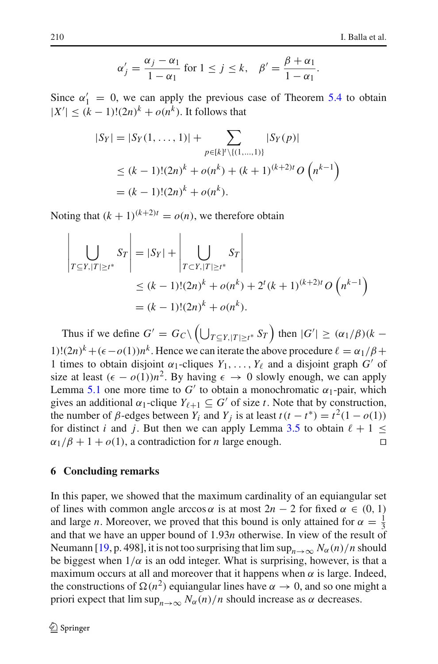$$
\alpha'_j = \frac{\alpha_j - \alpha_1}{1 - \alpha_1} \text{ for } 1 \le j \le k, \quad \beta' = \frac{\beta + \alpha_1}{1 - \alpha_1}.
$$

Since  $\alpha'_1 = 0$ , we can apply the previous case of Theorem [5.4](#page-25-0) to obtain  $|X'|$  ≤ ( $k - 1$ )!(2*n*)<sup> $k$ </sup> + *o*( $n<sup>k</sup>$ ). It follows that

$$
|S_Y| = |S_Y(1, ..., 1)| + \sum_{p \in [k]^l \setminus \{(1, ..., 1)\}} |S_Y(p)|
$$
  
\n
$$
\le (k - 1)!(2n)^k + o(n^k) + (k + 1)^{(k+2)t} O(n^{k-1})
$$
  
\n
$$
= (k - 1)!(2n)^k + o(n^k).
$$

Noting that  $(k + 1)^{(k+2)t} = o(n)$ , we therefore obtain

$$
\left| \bigcup_{T \subseteq Y, |T| \ge t^*} S_T \right| = |S_Y| + \left| \bigcup_{T \subseteq Y, |T| \ge t^*} S_T \right|
$$
  
\n
$$
\le (k-1)!(2n)^k + o(n^k) + 2^t (k+1)^{(k+2)t} O(n^{k-1})
$$
  
\n
$$
= (k-1)!(2n)^k + o(n^k).
$$

Thus if we define  $G' = G_C \setminus (\bigcup_{T \subseteq Y, |T| \ge t^*} S_T)$  then  $|G'| \ge (\alpha_1/\beta)(k -$ 1)! $(2n)^k + (\epsilon - o(1))n^k$ . Hence we can iterate the above procedure  $\ell = \alpha_1/\beta +$ 1 times to obtain disjoint  $\alpha_1$ -cliques  $Y_1, \ldots, Y_\ell$  and a disjoint graph *G'* of size at least  $(\epsilon - o(1))n^2$ . By having  $\epsilon \to 0$  slowly enough, we can apply Lemma [5.1](#page-22-1) one more time to  $G'$  to obtain a monochromatic  $\alpha_1$ -pair, which gives an additional  $\alpha_1$ -clique  $Y_{\ell+1} \subseteq G'$  of size *t*. Note that by construction, the number of  $\beta$ -edges between  $Y_i$  and  $Y_j$  is at least  $t(t - t^*) = t^2(1 - o(1))$ for distinct *i* and *j*. But then we can apply Lemma [3.5](#page-18-0) to obtain  $\ell + 1 \le \alpha_1/\beta + 1 + o(1)$ , a contradiction for *n* large enough.  $\alpha_1/\beta + 1 + o(1)$ , a contradiction for *n* large enough.

#### **6 Concluding remarks**

In this paper, we showed that the maximum cardinality of an equiangular set of lines with common angle arccos  $\alpha$  is at most  $2n - 2$  for fixed  $\alpha \in (0, 1)$ and large *n*. Moreover, we proved that this bound is only attained for  $\alpha = \frac{1}{3}$ and that we have an upper bound of 1.93*n* otherwise. In view of the result of Neumann [\[19,](#page-33-6) p. 498], it is not too surprising that  $\limsup_{n\to\infty} N_\alpha(n)/n$  should be biggest when  $1/\alpha$  is an odd integer. What is surprising, however, is that a maximum occurs at all and moreover that it happens when  $\alpha$  is large. Indeed, the constructions of  $\Omega(n^2)$  equiangular lines have  $\alpha \to 0$ , and so one might a priori expect that  $\limsup_{n\to\infty} N_\alpha(n)/n$  should increase as  $\alpha$  decreases.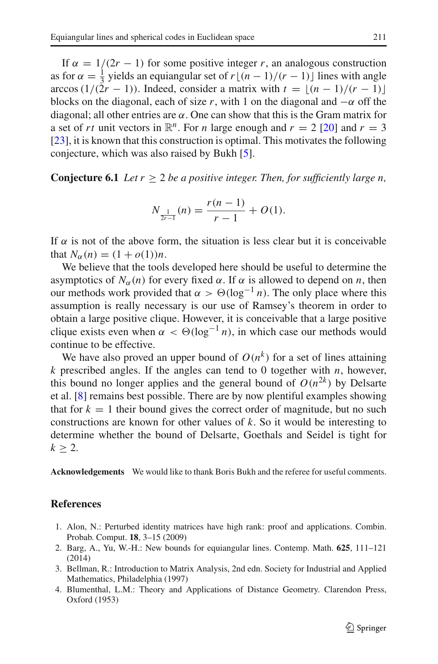If  $\alpha = 1/(2r - 1)$  for some positive integer *r*, an analogous construction as for  $\alpha = \frac{1}{3}$  yields an equiangular set of  $r\lfloor (n-1)/(r-1) \rfloor$  lines with angle arccos (1/(2*r* − 1)). Indeed, consider a matrix with  $t = \lfloor (n - 1)/(r - 1) \rfloor$ blocks on the diagonal, each of size r, with 1 on the diagonal and  $-\alpha$  off the diagonal; all other entries are  $\alpha$ . One can show that this is the Gram matrix for a set of *rt* unit vectors in  $\mathbb{R}^n$ . For *n* large enough and  $r = 2$  [\[20](#page-33-2)] and  $r = 3$ [\[23](#page-33-11)], it is known that this construction is optimal. This motivates the following conjecture, which was also raised by Bukh [\[5\]](#page-33-12).

**Conjecture 6.1** *Let*  $r > 2$  *be a positive integer. Then, for sufficiently large n.* 

$$
N_{\frac{1}{2r-1}}(n) = \frac{r(n-1)}{r-1} + O(1).
$$

If  $\alpha$  is not of the above form, the situation is less clear but it is conceivable that  $N_{\alpha}(n) = (1 + o(1))n$ .

We believe that the tools developed here should be useful to determine the asymptotics of  $N_\alpha(n)$  for every fixed  $\alpha$ . If  $\alpha$  is allowed to depend on *n*, then our methods work provided that  $\alpha > \Theta(\log^{-1} n)$ . The only place where this assumption is really necessary is our use of Ramsey's theorem in order to obtain a large positive clique. However, it is conceivable that a large positive clique exists even when  $\alpha < \Theta(\log^{-1} n)$ , in which case our methods would continue to be effective.

We have also proved an upper bound of  $O(n^k)$  for a set of lines attaining  $k$  prescribed angles. If the angles can tend to 0 together with  $n$ , however, this bound no longer applies and the general bound of  $O(n^{2k})$  by Delsarte et al. [\[8\]](#page-33-15) remains best possible. There are by now plentiful examples showing that for  $k = 1$  their bound gives the correct order of magnitude, but no such constructions are known for other values of *k*. So it would be interesting to determine whether the bound of Delsarte, Goethals and Seidel is tight for  $k \geq 2$ .

**Acknowledgements** We would like to thank Boris Bukh and the referee for useful comments.

#### **References**

- <span id="page-32-3"></span>1. Alon, N.: Perturbed identity matrices have high rank: proof and applications. Combin. Probab. Comput. **18**, 3–15 (2009)
- <span id="page-32-1"></span>2. Barg, A., Yu, W.-H.: New bounds for equiangular lines. Contemp. Math. **625**, 111–121 (2014)
- <span id="page-32-2"></span>3. Bellman, R.: Introduction to Matrix Analysis, 2nd edn. Society for Industrial and Applied Mathematics, Philadelphia (1997)
- <span id="page-32-0"></span>4. Blumenthal, L.M.: Theory and Applications of Distance Geometry. Clarendon Press, Oxford (1953)